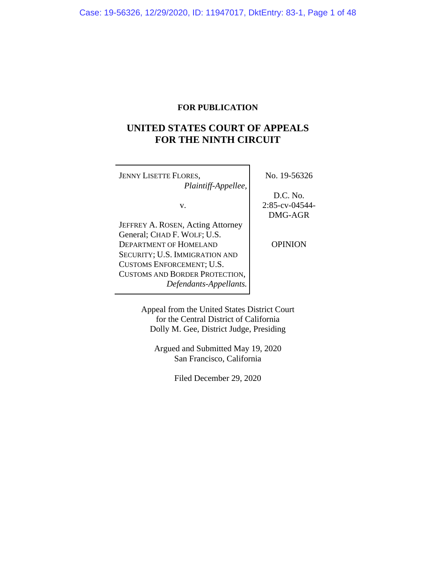# **FOR PUBLICATION**

# **UNITED STATES COURT OF APPEALS FOR THE NINTH CIRCUIT**

| <b>JENNY LISETTE FLORES,</b><br>Plaintiff-Appellee, | No. 19-56326      |
|-----------------------------------------------------|-------------------|
|                                                     | D.C. No.          |
| v.                                                  | $2:85$ -cv-04544- |
|                                                     | DMG-AGR           |
| JEFFREY A. ROSEN, Acting Attorney                   |                   |
| General; CHAD F. WOLF; U.S.                         |                   |
| DEPARTMENT OF HOMELAND                              | <b>OPINION</b>    |
| SECURITY; U.S. IMMIGRATION AND                      |                   |
| CUSTOMS ENFORCEMENT; U.S.                           |                   |
| CUSTOMS AND BORDER PROTECTION,                      |                   |
| Defendants-Appellants.                              |                   |

Appeal from the United States District Court for the Central District of California Dolly M. Gee, District Judge, Presiding

Argued and Submitted May 19, 2020 San Francisco, California

Filed December 29, 2020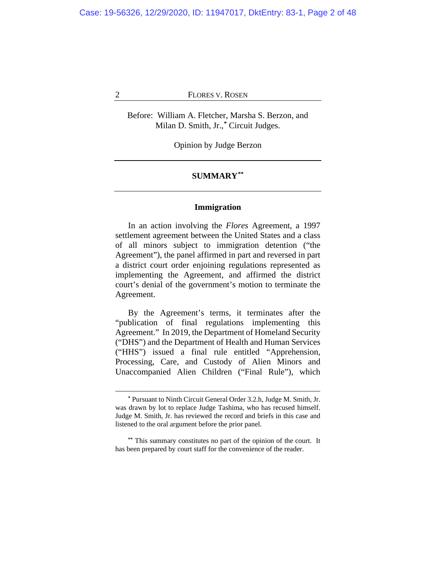Before: William A. Fletcher, Marsha S. Berzon, and Milan D. Smith, Jr.,**[\\*](#page-1-0)** Circuit Judges.

Opinion by Judge Berzon

# **SUMMARY[\\*\\*](#page-1-1)**

# **Immigration**

In an action involving the *Flores* Agreement, a 1997 settlement agreement between the United States and a class of all minors subject to immigration detention ("the Agreement"), the panel affirmed in part and reversed in part a district court order enjoining regulations represented as implementing the Agreement, and affirmed the district court's denial of the government's motion to terminate the Agreement.

By the Agreement's terms, it terminates after the "publication of final regulations implementing this Agreement." In 2019, the Department of Homeland Security ("DHS") and the Department of Health and Human Services ("HHS") issued a final rule entitled "Apprehension, Processing, Care, and Custody of Alien Minors and Unaccompanied Alien Children ("Final Rule"), which

**<sup>\*</sup>** Pursuant to Ninth Circuit General Order 3.2.h, Judge M. Smith, Jr. was drawn by lot to replace Judge Tashima, who has recused himself. Judge M. Smith, Jr. has reviewed the record and briefs in this case and listened to the oral argument before the prior panel.

<span id="page-1-1"></span><span id="page-1-0"></span>**<sup>\*\*</sup>** This summary constitutes no part of the opinion of the court. It has been prepared by court staff for the convenience of the reader.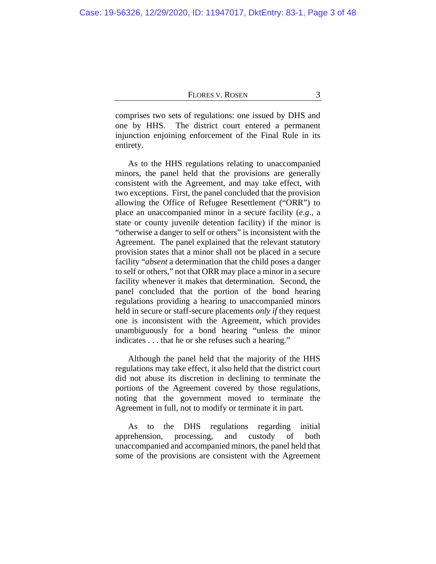comprises two sets of regulations: one issued by DHS and one by HHS. The district court entered a permanent injunction enjoining enforcement of the Final Rule in its entirety.

As to the HHS regulations relating to unaccompanied minors, the panel held that the provisions are generally consistent with the Agreement, and may take effect, with two exceptions. First, the panel concluded that the provision allowing the Office of Refugee Resettlement ("ORR") to place an unaccompanied minor in a secure facility (*e.g*., a state or county juvenile detention facility) if the minor is "otherwise a danger to self or others" is inconsistent with the Agreement. The panel explained that the relevant statutory provision states that a minor shall not be placed in a secure facility "*absent* a determination that the child poses a danger to self or others," not that ORR may place a minor in a secure facility whenever it makes that determination. Second, the panel concluded that the portion of the bond hearing regulations providing a hearing to unaccompanied minors held in secure or staff-secure placements *only if* they request one is inconsistent with the Agreement, which provides unambiguously for a bond hearing "unless the minor indicates . . . that he or she refuses such a hearing."

Although the panel held that the majority of the HHS regulations may take effect, it also held that the district court did not abuse its discretion in declining to terminate the portions of the Agreement covered by those regulations, noting that the government moved to terminate the Agreement in full, not to modify or terminate it in part.

As to the DHS regulations regarding initial apprehension, processing, and custody of both unaccompanied and accompanied minors, the panel held that some of the provisions are consistent with the Agreement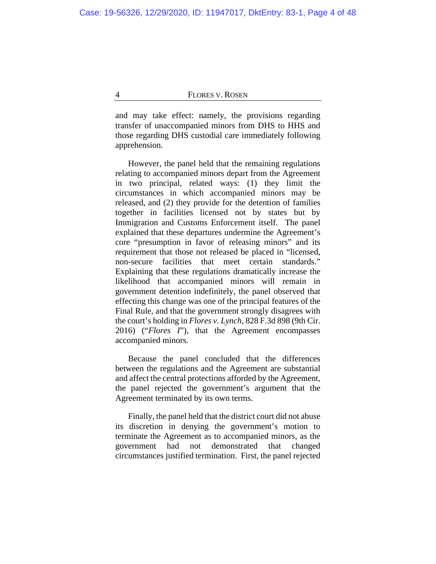and may take effect: namely, the provisions regarding transfer of unaccompanied minors from DHS to HHS and those regarding DHS custodial care immediately following apprehension.

However, the panel held that the remaining regulations relating to accompanied minors depart from the Agreement in two principal, related ways: (1) they limit the circumstances in which accompanied minors may be released, and (2) they provide for the detention of families together in facilities licensed not by states but by Immigration and Customs Enforcement itself. The panel explained that these departures undermine the Agreement's core "presumption in favor of releasing minors" and its requirement that those not released be placed in "licensed, non-secure facilities that meet certain standards." Explaining that these regulations dramatically increase the likelihood that accompanied minors will remain in government detention indefinitely, the panel observed that effecting this change was one of the principal features of the Final Rule, and that the government strongly disagrees with the court's holding in *Flores v. Lynch*, 828 F.3d 898 (9th Cir. 2016) ("*Flores I*"), that the Agreement encompasses accompanied minors.

Because the panel concluded that the differences between the regulations and the Agreement are substantial and affect the central protections afforded by the Agreement, the panel rejected the government's argument that the Agreement terminated by its own terms.

Finally, the panel held that the district court did not abuse its discretion in denying the government's motion to terminate the Agreement as to accompanied minors, as the government had not demonstrated that changed circumstances justified termination. First, the panel rejected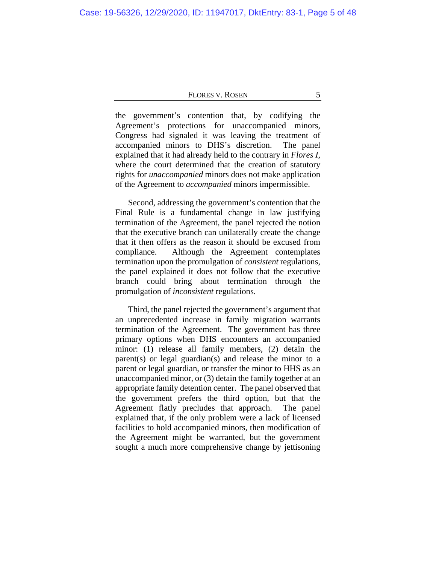the government's contention that, by codifying the Agreement's protections for unaccompanied minors, Congress had signaled it was leaving the treatment of accompanied minors to DHS's discretion. The panel explained that it had already held to the contrary in *Flores I*, where the court determined that the creation of statutory rights for *unaccompanied* minors does not make application of the Agreement to *accompanied* minors impermissible.

Second, addressing the government's contention that the Final Rule is a fundamental change in law justifying termination of the Agreement, the panel rejected the notion that the executive branch can unilaterally create the change that it then offers as the reason it should be excused from compliance. Although the Agreement contemplates termination upon the promulgation of *consistent* regulations, the panel explained it does not follow that the executive branch could bring about termination through the promulgation of *inconsistent* regulations.

Third, the panel rejected the government's argument that an unprecedented increase in family migration warrants termination of the Agreement. The government has three primary options when DHS encounters an accompanied minor: (1) release all family members, (2) detain the parent(s) or legal guardian(s) and release the minor to a parent or legal guardian, or transfer the minor to HHS as an unaccompanied minor, or (3) detain the family together at an appropriate family detention center. The panel observed that the government prefers the third option, but that the Agreement flatly precludes that approach. The panel explained that, if the only problem were a lack of licensed facilities to hold accompanied minors, then modification of the Agreement might be warranted, but the government sought a much more comprehensive change by jettisoning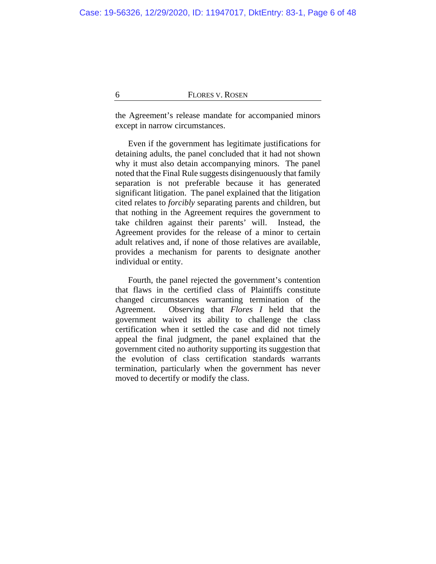the Agreement's release mandate for accompanied minors except in narrow circumstances.

Even if the government has legitimate justifications for detaining adults, the panel concluded that it had not shown why it must also detain accompanying minors. The panel noted that the Final Rule suggests disingenuously that family separation is not preferable because it has generated significant litigation. The panel explained that the litigation cited relates to *forcibly* separating parents and children, but that nothing in the Agreement requires the government to take children against their parents' will. Instead, the Agreement provides for the release of a minor to certain adult relatives and, if none of those relatives are available, provides a mechanism for parents to designate another individual or entity.

Fourth, the panel rejected the government's contention that flaws in the certified class of Plaintiffs constitute changed circumstances warranting termination of the Agreement. Observing that *Flores I* held that the government waived its ability to challenge the class certification when it settled the case and did not timely appeal the final judgment, the panel explained that the government cited no authority supporting its suggestion that the evolution of class certification standards warrants termination, particularly when the government has never moved to decertify or modify the class.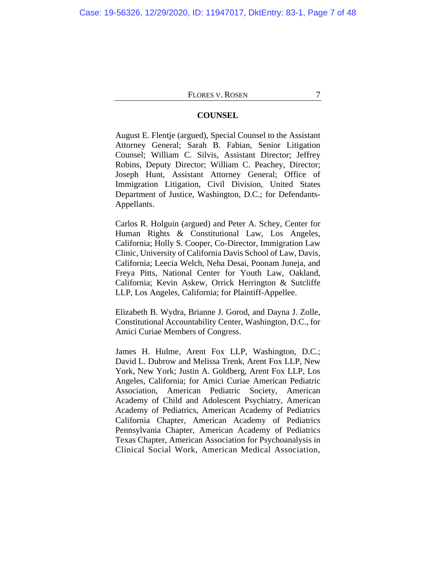# **COUNSEL**

August E. Flentje (argued), Special Counsel to the Assistant Attorney General; Sarah B. Fabian, Senior Litigation Counsel; William C. Silvis, Assistant Director; Jeffrey Robins, Deputy Director; William C. Peachey, Director; Joseph Hunt, Assistant Attorney General; Office of Immigration Litigation, Civil Division, United States Department of Justice, Washington, D.C.; for Defendants-Appellants.

Carlos R. Holguin (argued) and Peter A. Schey, Center for Human Rights & Constitutional Law, Los Angeles, California; Holly S. Cooper, Co-Director, Immigration Law Clinic, University of California Davis School of Law, Davis, California; Leecia Welch, Neha Desai, Poonam Juneja, and Freya Pitts, National Center for Youth Law, Oakland, California; Kevin Askew, Orrick Herrington & Sutcliffe LLP, Los Angeles, California; for Plaintiff-Appellee.

Elizabeth B. Wydra, Brianne J. Gorod, and Dayna J. Zolle, Constitutional Accountability Center, Washington, D.C., for Amici Curiae Members of Congress.

James H. Hulme, Arent Fox LLP, Washington, D.C.; David L. Dubrow and Melissa Trenk, Arent Fox LLP, New York, New York; Justin A. Goldberg, Arent Fox LLP, Los Angeles, California; for Amici Curiae American Pediatric Association, American Pediatric Society, American Academy of Child and Adolescent Psychiatry, American Academy of Pediatrics, American Academy of Pediatrics California Chapter, American Academy of Pediatrics Pennsylvania Chapter, American Academy of Pediatrics Texas Chapter, American Association for Psychoanalysis in Clinical Social Work, American Medical Association,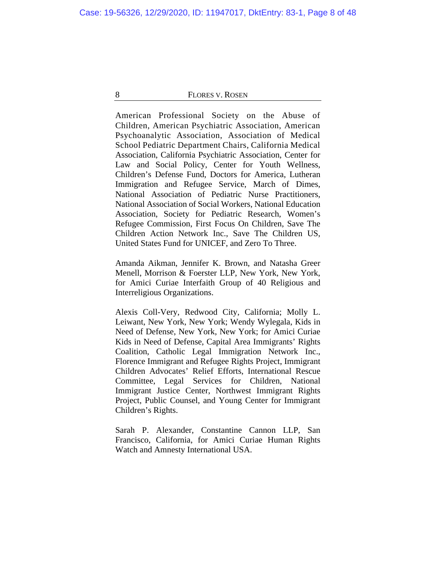American Professional Society on the Abuse of Children, American Psychiatric Association, American Psychoanalytic Association, Association of Medical School Pediatric Department Chairs, California Medical Association, California Psychiatric Association, Center for Law and Social Policy, Center for Youth Wellness, Children's Defense Fund, Doctors for America, Lutheran Immigration and Refugee Service, March of Dimes, National Association of Pediatric Nurse Practitioners, National Association of Social Workers, National Education Association, Society for Pediatric Research, Women's Refugee Commission, First Focus On Children, Save The Children Action Network Inc., Save The Children US, United States Fund for UNICEF, and Zero To Three.

Amanda Aikman, Jennifer K. Brown, and Natasha Greer Menell, Morrison & Foerster LLP, New York, New York, for Amici Curiae Interfaith Group of 40 Religious and Interreligious Organizations.

Alexis Coll-Very, Redwood City, California; Molly L. Leiwant, New York, New York; Wendy Wylegala, Kids in Need of Defense, New York, New York; for Amici Curiae Kids in Need of Defense, Capital Area Immigrants' Rights Coalition, Catholic Legal Immigration Network Inc., Florence Immigrant and Refugee Rights Project, Immigrant Children Advocates' Relief Efforts, International Rescue Committee, Legal Services for Children, National Immigrant Justice Center, Northwest Immigrant Rights Project, Public Counsel, and Young Center for Immigrant Children's Rights.

Sarah P. Alexander, Constantine Cannon LLP, San Francisco, California, for Amici Curiae Human Rights Watch and Amnesty International USA.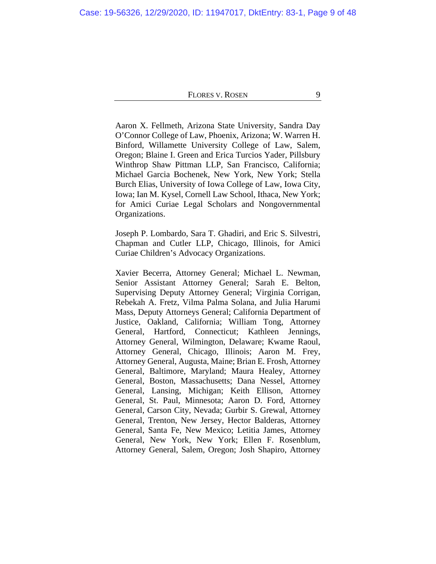Aaron X. Fellmeth, Arizona State University, Sandra Day O'Connor College of Law, Phoenix, Arizona; W. Warren H. Binford, Willamette University College of Law, Salem, Oregon; Blaine I. Green and Erica Turcios Yader, Pillsbury Winthrop Shaw Pittman LLP, San Francisco, California; Michael Garcia Bochenek, New York, New York; Stella Burch Elias, University of Iowa College of Law, Iowa City, Iowa; Ian M. Kysel, Cornell Law School, Ithaca, New York; for Amici Curiae Legal Scholars and Nongovernmental Organizations.

Joseph P. Lombardo, Sara T. Ghadiri, and Eric S. Silvestri, Chapman and Cutler LLP, Chicago, Illinois, for Amici Curiae Children's Advocacy Organizations.

Xavier Becerra, Attorney General; Michael L. Newman, Senior Assistant Attorney General; Sarah E. Belton, Supervising Deputy Attorney General; Virginia Corrigan, Rebekah A. Fretz, Vilma Palma Solana, and Julia Harumi Mass, Deputy Attorneys General; California Department of Justice, Oakland, California; William Tong, Attorney General, Hartford, Connecticut; Kathleen Jennings, Attorney General, Wilmington, Delaware; Kwame Raoul, Attorney General, Chicago, Illinois; Aaron M. Frey, Attorney General, Augusta, Maine; Brian E. Frosh, Attorney General, Baltimore, Maryland; Maura Healey, Attorney General, Boston, Massachusetts; Dana Nessel, Attorney General, Lansing, Michigan; Keith Ellison, Attorney General, St. Paul, Minnesota; Aaron D. Ford, Attorney General, Carson City, Nevada; Gurbir S. Grewal, Attorney General, Trenton, New Jersey, Hector Balderas, Attorney General, Santa Fe, New Mexico; Letitia James, Attorney General, New York, New York; Ellen F. Rosenblum, Attorney General, Salem, Oregon; Josh Shapiro, Attorney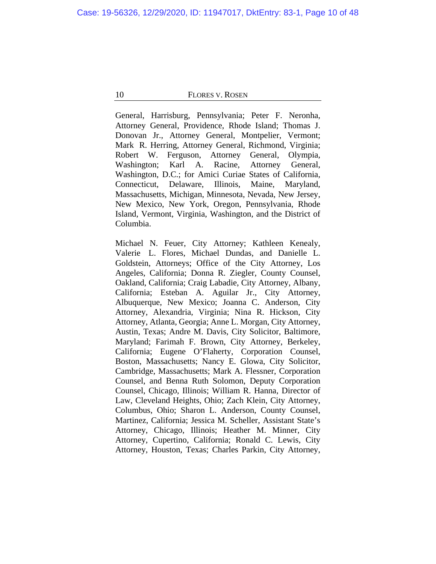General, Harrisburg, Pennsylvania; Peter F. Neronha, Attorney General, Providence, Rhode Island; Thomas J. Donovan Jr., Attorney General, Montpelier, Vermont; Mark R. Herring, Attorney General, Richmond, Virginia; Robert W. Ferguson, Attorney General, Olympia, Washington; Karl A. Racine, Attorney General, Washington, D.C.; for Amici Curiae States of California, Connecticut, Delaware, Illinois, Maine, Maryland, Massachusetts, Michigan, Minnesota, Nevada, New Jersey, New Mexico, New York, Oregon, Pennsylvania, Rhode Island, Vermont, Virginia, Washington, and the District of Columbia.

Michael N. Feuer, City Attorney; Kathleen Kenealy, Valerie L. Flores, Michael Dundas, and Danielle L. Goldstein, Attorneys; Office of the City Attorney, Los Angeles, California; Donna R. Ziegler, County Counsel, Oakland, California; Craig Labadie, City Attorney, Albany, California; Esteban A. Aguilar Jr., City Attorney, Albuquerque, New Mexico; Joanna C. Anderson, City Attorney, Alexandria, Virginia; Nina R. Hickson, City Attorney, Atlanta, Georgia; Anne L. Morgan, City Attorney, Austin, Texas; Andre M. Davis, City Solicitor, Baltimore, Maryland; Farimah F. Brown, City Attorney, Berkeley, California; Eugene O'Flaherty, Corporation Counsel, Boston, Massachusetts; Nancy E. Glowa, City Solicitor, Cambridge, Massachusetts; Mark A. Flessner, Corporation Counsel, and Benna Ruth Solomon, Deputy Corporation Counsel, Chicago, Illinois; William R. Hanna, Director of Law, Cleveland Heights, Ohio; Zach Klein, City Attorney, Columbus, Ohio; Sharon L. Anderson, County Counsel, Martinez, California; Jessica M. Scheller, Assistant State's Attorney, Chicago, Illinois; Heather M. Minner, City Attorney, Cupertino, California; Ronald C. Lewis, City Attorney, Houston, Texas; Charles Parkin, City Attorney,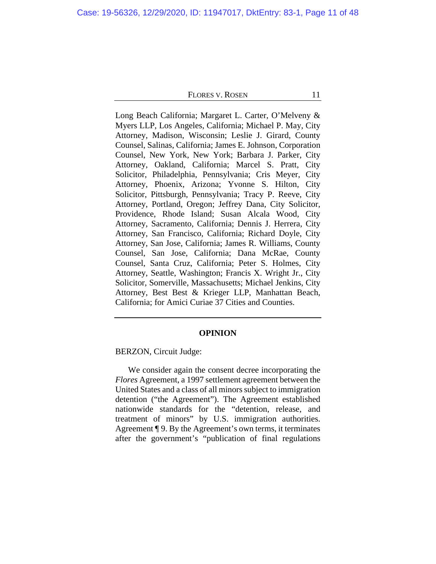Long Beach California; Margaret L. Carter, O'Melveny & Myers LLP, Los Angeles, California; Michael P. May, City Attorney, Madison, Wisconsin; Leslie J. Girard, County Counsel, Salinas, California; James E. Johnson, Corporation Counsel, New York, New York; Barbara J. Parker, City Attorney, Oakland, California; Marcel S. Pratt, City Solicitor, Philadelphia, Pennsylvania; Cris Meyer, City Attorney, Phoenix, Arizona; Yvonne S. Hilton, City Solicitor, Pittsburgh, Pennsylvania; Tracy P. Reeve, City Attorney, Portland, Oregon; Jeffrey Dana, City Solicitor, Providence, Rhode Island; Susan Alcala Wood, City Attorney, Sacramento, California; Dennis J. Herrera, City Attorney, San Francisco, California; Richard Doyle, City Attorney, San Jose, California; James R. Williams, County Counsel, San Jose, California; Dana McRae, County Counsel, Santa Cruz, California; Peter S. Holmes, City Attorney, Seattle, Washington; Francis X. Wright Jr., City Solicitor, Somerville, Massachusetts; Michael Jenkins, City Attorney, Best Best & Krieger LLP, Manhattan Beach, California; for Amici Curiae 37 Cities and Counties.

### **OPINION**

BERZON, Circuit Judge:

We consider again the consent decree incorporating the *Flores* Agreement, a 1997 settlement agreement between the United States and a class of all minors subject to immigration detention ("the Agreement"). The Agreement established nationwide standards for the "detention, release, and treatment of minors" by U.S. immigration authorities. Agreement ¶ 9. By the Agreement's own terms, it terminates after the government's "publication of final regulations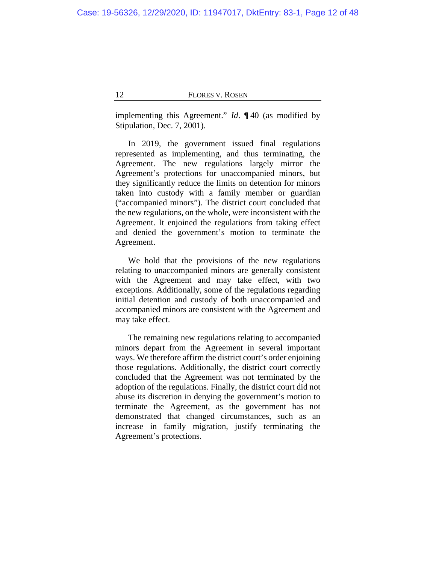implementing this Agreement." *Id*. ¶ 40 (as modified by Stipulation, Dec. 7, 2001).

In 2019, the government issued final regulations represented as implementing, and thus terminating, the Agreement. The new regulations largely mirror the Agreement's protections for unaccompanied minors, but they significantly reduce the limits on detention for minors taken into custody with a family member or guardian ("accompanied minors"). The district court concluded that the new regulations, on the whole, were inconsistent with the Agreement. It enjoined the regulations from taking effect and denied the government's motion to terminate the Agreement.

We hold that the provisions of the new regulations relating to unaccompanied minors are generally consistent with the Agreement and may take effect, with two exceptions. Additionally, some of the regulations regarding initial detention and custody of both unaccompanied and accompanied minors are consistent with the Agreement and may take effect.

The remaining new regulations relating to accompanied minors depart from the Agreement in several important ways. We therefore affirm the district court's order enjoining those regulations. Additionally, the district court correctly concluded that the Agreement was not terminated by the adoption of the regulations. Finally, the district court did not abuse its discretion in denying the government's motion to terminate the Agreement, as the government has not demonstrated that changed circumstances, such as an increase in family migration, justify terminating the Agreement's protections.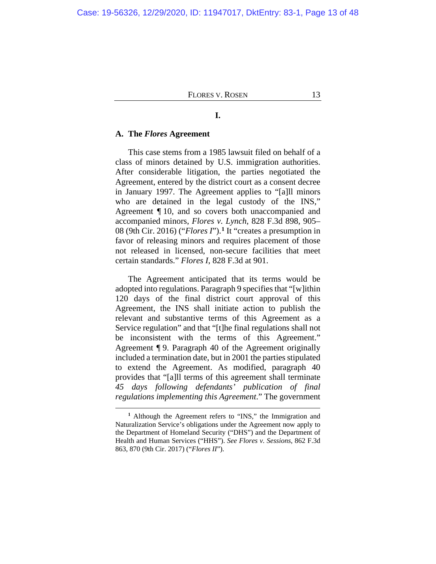# **I.**

#### **A. The** *Flores* **Agreement**

This case stems from a 1985 lawsuit filed on behalf of a class of minors detained by U.S. immigration authorities. After considerable litigation, the parties negotiated the Agreement, entered by the district court as a consent decree in January 1997. The Agreement applies to "[a]ll minors who are detained in the legal custody of the INS," Agreement ¶ 10, and so covers both unaccompanied and accompanied minors, *Flores v. Lynch*, 828 F.3d 898, 905– 08 (9th Cir. 2016) ("*Flores I*").**[1](#page-12-0)** It "creates a presumption in favor of releasing minors and requires placement of those not released in licensed, non-secure facilities that meet certain standards." *Flores I*, 828 F.3d at 901.

The Agreement anticipated that its terms would be adopted into regulations. Paragraph 9 specifies that "[w]ithin 120 days of the final district court approval of this Agreement, the INS shall initiate action to publish the relevant and substantive terms of this Agreement as a Service regulation" and that "[t]he final regulations shall not be inconsistent with the terms of this Agreement." Agreement ¶ 9. Paragraph 40 of the Agreement originally included a termination date, but in 2001 the parties stipulated to extend the Agreement. As modified, paragraph 40 provides that "[a]ll terms of this agreement shall terminate *45 days following defendants' publication of final regulations implementing this Agreement*." The government

<span id="page-12-0"></span>**<sup>1</sup>** Although the Agreement refers to "INS," the Immigration and Naturalization Service's obligations under the Agreement now apply to the Department of Homeland Security ("DHS") and the Department of Health and Human Services ("HHS"). *See Flores v. Sessions*, 862 F.3d 863, 870 (9th Cir. 2017) ("*Flores II*").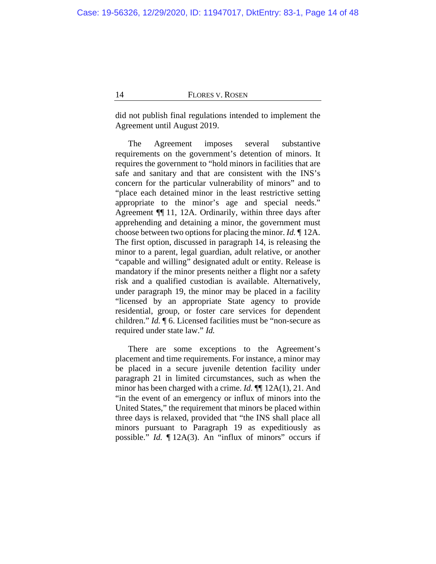did not publish final regulations intended to implement the Agreement until August 2019.

The Agreement imposes several substantive requirements on the government's detention of minors. It requires the government to "hold minors in facilities that are safe and sanitary and that are consistent with the INS's concern for the particular vulnerability of minors" and to "place each detained minor in the least restrictive setting appropriate to the minor's age and special needs." Agreement ¶¶ 11, 12A. Ordinarily, within three days after apprehending and detaining a minor, the government must choose between two options for placing the minor. *Id.* ¶ 12A. The first option, discussed in paragraph 14, is releasing the minor to a parent, legal guardian, adult relative, or another "capable and willing" designated adult or entity. Release is mandatory if the minor presents neither a flight nor a safety risk and a qualified custodian is available. Alternatively, under paragraph 19, the minor may be placed in a facility "licensed by an appropriate State agency to provide residential, group, or foster care services for dependent children." *Id.* ¶ 6. Licensed facilities must be "non-secure as required under state law." *Id.*

<span id="page-13-0"></span>There are some exceptions to the Agreement's placement and time requirements. For instance, a minor may be placed in a secure juvenile detention facility under paragraph 21 in limited circumstances, such as when the minor has been charged with a crime. *Id.* ¶¶ 12A(1), 21. And "in the event of an emergency or influx of minors into the United States," the requirement that minors be placed within three days is relaxed, provided that "the INS shall place all minors pursuant to Paragraph 19 as expeditiously as possible." *Id.* ¶ 12A(3). An "influx of minors" occurs if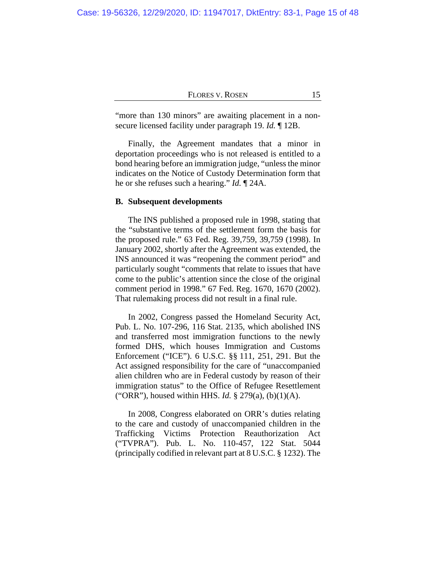"more than 130 minors" are awaiting placement in a nonsecure licensed facility under paragraph 19. *Id.* ¶ 12B.

Finally, the Agreement mandates that a minor in deportation proceedings who is not released is entitled to a bond hearing before an immigration judge, "unless the minor indicates on the Notice of Custody Determination form that he or she refuses such a hearing." *Id.* ¶ 24A.

### <span id="page-14-0"></span>**B. Subsequent developments**

The INS published a proposed rule in 1998, stating that the "substantive terms of the settlement form the basis for the proposed rule." 63 Fed. Reg. 39,759, 39,759 (1998). In January 2002, shortly after the Agreement was extended, the INS announced it was "reopening the comment period" and particularly sought "comments that relate to issues that have come to the public's attention since the close of the original comment period in 1998." 67 Fed. Reg. 1670, 1670 (2002). That rulemaking process did not result in a final rule.

In 2002, Congress passed the Homeland Security Act, Pub. L. No. 107-296, 116 Stat. 2135, which abolished INS and transferred most immigration functions to the newly formed DHS, which houses Immigration and Customs Enforcement ("ICE"). 6 U.S.C. §§ 111, 251, 291. But the Act assigned responsibility for the care of "unaccompanied alien children who are in Federal custody by reason of their immigration status" to the Office of Refugee Resettlement ("ORR"), housed within HHS. *Id.* § 279(a), (b)(1)(A).

In 2008, Congress elaborated on ORR's duties relating to the care and custody of unaccompanied children in the Trafficking Victims Protection Reauthorization Act ("TVPRA"). Pub. L. No. 110-457, 122 Stat. 5044 (principally codified in relevant part at 8 U.S.C. § 1232). The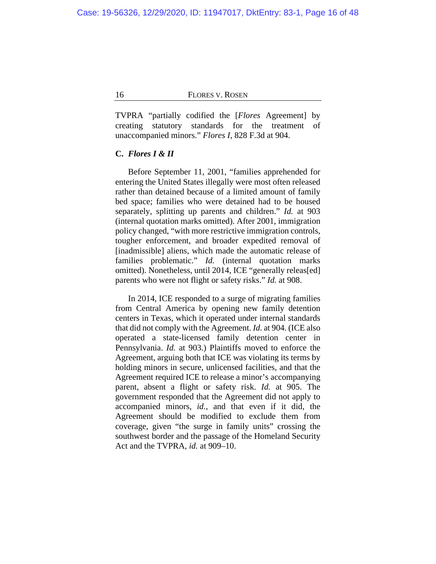TVPRA "partially codified the [*Flores* Agreement] by creating statutory standards for the treatment of unaccompanied minors." *Flores I*, 828 F.3d at 904.

# **C.** *Flores I & II*

Before September 11, 2001, "families apprehended for entering the United States illegally were most often released rather than detained because of a limited amount of family bed space; families who were detained had to be housed separately, splitting up parents and children." *Id.* at 903 (internal quotation marks omitted). After 2001, immigration policy changed, "with more restrictive immigration controls, tougher enforcement, and broader expedited removal of [inadmissible] aliens, which made the automatic release of families problematic." *Id.* (internal quotation marks omitted). Nonetheless, until 2014, ICE "generally releas[ed] parents who were not flight or safety risks." *Id.* at 908.

In 2014, ICE responded to a surge of migrating families from Central America by opening new family detention centers in Texas, which it operated under internal standards that did not comply with the Agreement. *Id.* at 904. (ICE also operated a state-licensed family detention center in Pennsylvania. *Id.* at 903.) Plaintiffs moved to enforce the Agreement, arguing both that ICE was violating its terms by holding minors in secure, unlicensed facilities, and that the Agreement required ICE to release a minor's accompanying parent, absent a flight or safety risk. *Id.* at 905. The government responded that the Agreement did not apply to accompanied minors, *id.*, and that even if it did, the Agreement should be modified to exclude them from coverage, given "the surge in family units" crossing the southwest border and the passage of the Homeland Security Act and the TVPRA, *id.* at 909–10.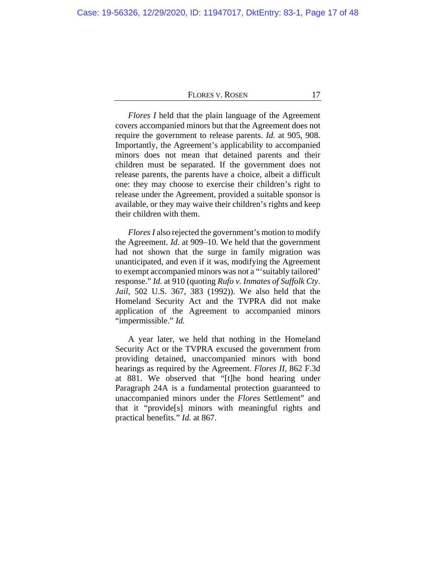*Flores I* held that the plain language of the Agreement covers accompanied minors but that the Agreement does not require the government to release parents. *Id.* at 905, 908. Importantly, the Agreement's applicability to accompanied minors does not mean that detained parents and their children must be separated. If the government does not release parents, the parents have a choice, albeit a difficult one: they may choose to exercise their children's right to release under the Agreement, provided a suitable sponsor is available, or they may waive their children's rights and keep their children with them.

<span id="page-16-0"></span>*Flores I* also rejected the government's motion to modify the Agreement. *Id.* at 909–10. We held that the government had not shown that the surge in family migration was unanticipated, and even if it was, modifying the Agreement to exempt accompanied minors was not a "'suitably tailored' response." *Id.* at 910 (quoting *Rufo v. Inmates of Suffolk Cty. Jail*, 502 U.S. 367, 383 (1992)). We also held that the Homeland Security Act and the TVPRA did not make application of the Agreement to accompanied minors "impermissible." *Id.*

A year later, we held that nothing in the Homeland Security Act or the TVPRA excused the government from providing detained, unaccompanied minors with bond hearings as required by the Agreement. *Flores II*, 862 F.3d at 881. We observed that "[t]he bond hearing under Paragraph 24A is a fundamental protection guaranteed to unaccompanied minors under the *Flores* Settlement" and that it "provide[s] minors with meaningful rights and practical benefits." *Id.* at 867.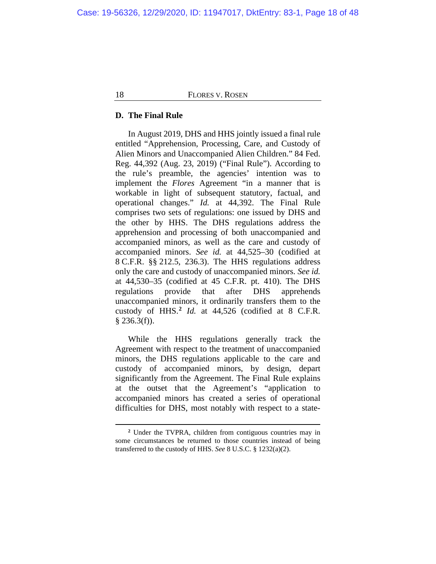### **D. The Final Rule**

In August 2019, DHS and HHS jointly issued a final rule entitled "Apprehension, Processing, Care, and Custody of Alien Minors and Unaccompanied Alien Children." 84 Fed. Reg. 44,392 (Aug. 23, 2019) ("Final Rule"). According to the rule's preamble, the agencies' intention was to implement the *Flores* Agreement "in a manner that is workable in light of subsequent statutory, factual, and operational changes." *Id.* at 44,392. The Final Rule comprises two sets of regulations: one issued by DHS and the other by HHS. The DHS regulations address the apprehension and processing of both unaccompanied and accompanied minors, as well as the care and custody of accompanied minors. *See id.* at 44,525–30 (codified at 8 C.F.R. §§ 212.5, 236.3). The HHS regulations address only the care and custody of unaccompanied minors. *See id.* at 44,530–35 (codified at 45 C.F.R. pt. 410). The DHS regulations provide that after DHS apprehends unaccompanied minors, it ordinarily transfers them to the custody of HHS.**[2](#page-17-0)** *Id.* at 44,526 (codified at 8 C.F.R.  $§$  236.3(f)).

While the HHS regulations generally track the Agreement with respect to the treatment of unaccompanied minors, the DHS regulations applicable to the care and custody of accompanied minors, by design, depart significantly from the Agreement. The Final Rule explains at the outset that the Agreement's "application to accompanied minors has created a series of operational difficulties for DHS, most notably with respect to a state-

<span id="page-17-0"></span>**<sup>2</sup>** Under the TVPRA, children from contiguous countries may in some circumstances be returned to those countries instead of being transferred to the custody of HHS. *See* 8 U.S.C. § 1232(a)(2).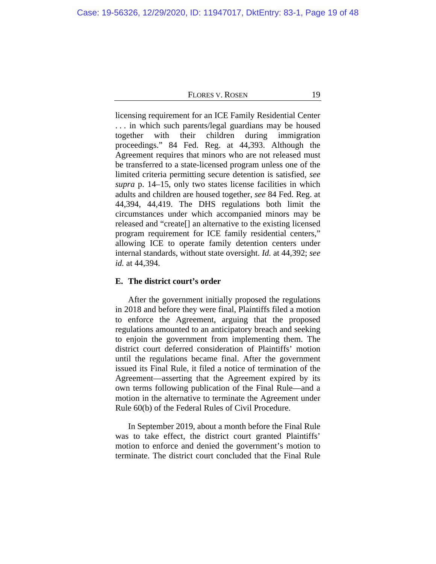licensing requirement for an ICE Family Residential Center . . . in which such parents/legal guardians may be housed together with their children during immigration proceedings." 84 Fed. Reg. at 44,393. Although the Agreement requires that minors who are not released must be transferred to a state-licensed program unless one of the limited criteria permitting secure detention is satisfied, *see supra* p. [14](#page-13-0)[–15,](#page-14-0) only two states license facilities in which adults and children are housed together, *see* 84 Fed. Reg. at 44,394, 44,419. The DHS regulations both limit the circumstances under which accompanied minors may be released and "create[] an alternative to the existing licensed program requirement for ICE family residential centers," allowing ICE to operate family detention centers under internal standards, without state oversight. *Id.* at 44,392; *see id.* at 44,394.

# **E. The district court's order**

After the government initially proposed the regulations in 2018 and before they were final, Plaintiffs filed a motion to enforce the Agreement, arguing that the proposed regulations amounted to an anticipatory breach and seeking to enjoin the government from implementing them. The district court deferred consideration of Plaintiffs' motion until the regulations became final. After the government issued its Final Rule, it filed a notice of termination of the Agreement—asserting that the Agreement expired by its own terms following publication of the Final Rule—and a motion in the alternative to terminate the Agreement under Rule 60(b) of the Federal Rules of Civil Procedure.

In September 2019, about a month before the Final Rule was to take effect, the district court granted Plaintiffs' motion to enforce and denied the government's motion to terminate. The district court concluded that the Final Rule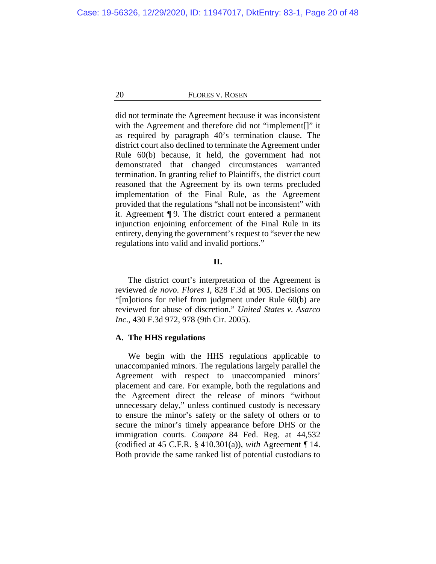did not terminate the Agreement because it was inconsistent with the Agreement and therefore did not "implement[]" it as required by paragraph 40's termination clause. The district court also declined to terminate the Agreement under Rule 60(b) because, it held, the government had not demonstrated that changed circumstances warranted termination. In granting relief to Plaintiffs, the district court reasoned that the Agreement by its own terms precluded implementation of the Final Rule, as the Agreement provided that the regulations "shall not be inconsistent" with it. Agreement ¶ 9. The district court entered a permanent injunction enjoining enforcement of the Final Rule in its entirety, denying the government's request to "sever the new regulations into valid and invalid portions."

#### **II.**

The district court's interpretation of the Agreement is reviewed *de novo*. *Flores I*, 828 F.3d at 905. Decisions on "[m]otions for relief from judgment under Rule 60(b) are reviewed for abuse of discretion." *United States v. Asarco Inc*., 430 F.3d 972, 978 (9th Cir. 2005).

### **A. The HHS regulations**

We begin with the HHS regulations applicable to unaccompanied minors. The regulations largely parallel the Agreement with respect to unaccompanied minors' placement and care. For example, both the regulations and the Agreement direct the release of minors "without unnecessary delay," unless continued custody is necessary to ensure the minor's safety or the safety of others or to secure the minor's timely appearance before DHS or the immigration courts. *Compare* 84 Fed. Reg. at 44,532 (codified at 45 C.F.R. § 410.301(a)), *with* Agreement ¶ 14. Both provide the same ranked list of potential custodians to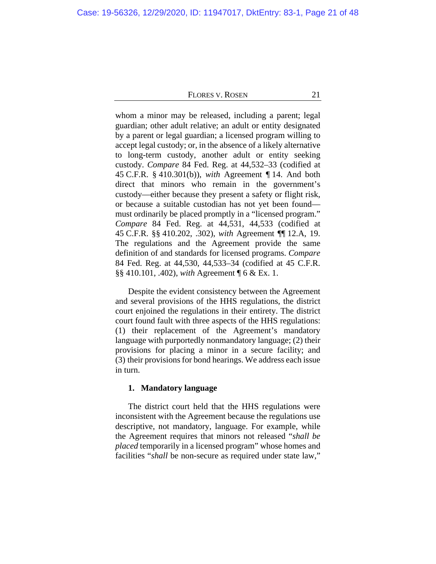whom a minor may be released, including a parent; legal guardian; other adult relative; an adult or entity designated by a parent or legal guardian; a licensed program willing to accept legal custody; or, in the absence of a likely alternative to long-term custody, another adult or entity seeking custody. *Compare* 84 Fed. Reg. at 44,532–33 (codified at 45 C.F.R. § 410.301(b)), *with* Agreement ¶ 14. And both direct that minors who remain in the government's custody—either because they present a safety or flight risk, or because a suitable custodian has not yet been found must ordinarily be placed promptly in a "licensed program." *Compare* 84 Fed. Reg. at 44,531, 44,533 (codified at 45 C.F.R. §§ 410.202, .302), *with* Agreement ¶¶ 12.A, 19. The regulations and the Agreement provide the same definition of and standards for licensed programs. *Compare* 84 Fed. Reg. at 44,530, 44,533–34 (codified at 45 C.F.R. §§ 410.101, .402), *with* Agreement ¶ 6 & Ex. 1.

Despite the evident consistency between the Agreement and several provisions of the HHS regulations, the district court enjoined the regulations in their entirety. The district court found fault with three aspects of the HHS regulations: (1) their replacement of the Agreement's mandatory language with purportedly nonmandatory language; (2) their provisions for placing a minor in a secure facility; and (3) their provisions for bond hearings. We address each issue in turn.

# **1. Mandatory language**

The district court held that the HHS regulations were inconsistent with the Agreement because the regulations use descriptive, not mandatory, language. For example, while the Agreement requires that minors not released "*shall be placed* temporarily in a licensed program" whose homes and facilities "*shall* be non-secure as required under state law,"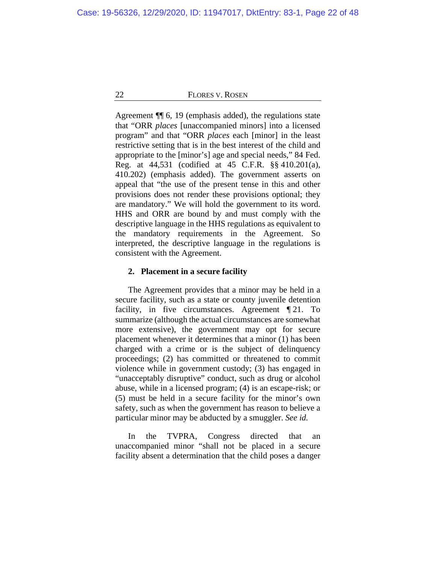Agreement ¶¶ 6, 19 (emphasis added), the regulations state that "ORR *places* [unaccompanied minors] into a licensed program" and that "ORR *places* each [minor] in the least restrictive setting that is in the best interest of the child and appropriate to the [minor's] age and special needs," 84 Fed. Reg. at 44,531 (codified at 45 C.F.R. §§ 410.201(a), 410.202) (emphasis added). The government asserts on appeal that "the use of the present tense in this and other provisions does not render these provisions optional; they are mandatory." We will hold the government to its word. HHS and ORR are bound by and must comply with the descriptive language in the HHS regulations as equivalent to the mandatory requirements in the Agreement. So interpreted, the descriptive language in the regulations is consistent with the Agreement.

### **2. Placement in a secure facility**

The Agreement provides that a minor may be held in a secure facility, such as a state or county juvenile detention facility, in five circumstances. Agreement ¶ 21. To summarize (although the actual circumstances are somewhat more extensive), the government may opt for secure placement whenever it determines that a minor (1) has been charged with a crime or is the subject of delinquency proceedings; (2) has committed or threatened to commit violence while in government custody; (3) has engaged in "unacceptably disruptive" conduct, such as drug or alcohol abuse, while in a licensed program; (4) is an escape-risk; or (5) must be held in a secure facility for the minor's own safety, such as when the government has reason to believe a particular minor may be abducted by a smuggler. *See id.*

In the TVPRA, Congress directed that an unaccompanied minor "shall not be placed in a secure facility absent a determination that the child poses a danger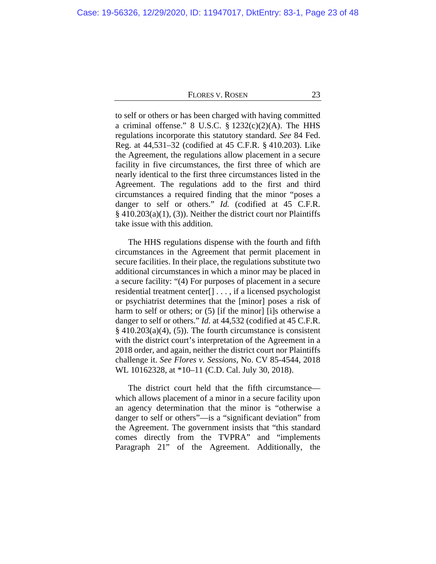to self or others or has been charged with having committed a criminal offense." 8 U.S.C.  $\S$  1232(c)(2)(A). The HHS regulations incorporate this statutory standard. *See* 84 Fed. Reg. at 44,531–32 (codified at 45 C.F.R. § 410.203). Like the Agreement, the regulations allow placement in a secure facility in five circumstances, the first three of which are nearly identical to the first three circumstances listed in the Agreement. The regulations add to the first and third circumstances a required finding that the minor "poses a danger to self or others." *Id.* (codified at 45 C.F.R. § 410.203(a)(1), (3)). Neither the district court nor Plaintiffs take issue with this addition.

The HHS regulations dispense with the fourth and fifth circumstances in the Agreement that permit placement in secure facilities. In their place, the regulations substitute two additional circumstances in which a minor may be placed in a secure facility: "(4) For purposes of placement in a secure residential treatment center[] . . . , if a licensed psychologist or psychiatrist determines that the [minor] poses a risk of harm to self or others; or (5) [if the minor] [i]s otherwise a danger to self or others." *Id.* at 44,532 (codified at 45 C.F.R.  $§$  410.203(a)(4), (5)). The fourth circumstance is consistent with the district court's interpretation of the Agreement in a 2018 order, and again, neither the district court nor Plaintiffs challenge it. *See Flores v. Sessions*, No. CV 85-4544, 2018 WL 10162328, at \*10–11 (C.D. Cal. July 30, 2018).

The district court held that the fifth circumstance which allows placement of a minor in a secure facility upon an agency determination that the minor is "otherwise a danger to self or others"—is a "significant deviation" from the Agreement. The government insists that "this standard comes directly from the TVPRA" and "implements Paragraph 21" of the Agreement. Additionally, the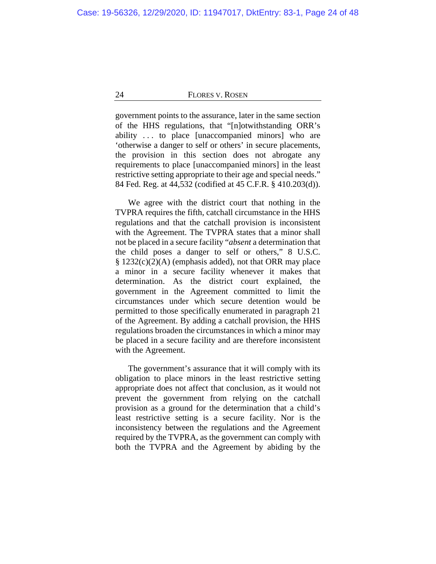government points to the assurance, later in the same section of the HHS regulations, that "[n]otwithstanding ORR's ability . . . to place [unaccompanied minors] who are 'otherwise a danger to self or others' in secure placements, the provision in this section does not abrogate any requirements to place [unaccompanied minors] in the least restrictive setting appropriate to their age and special needs." 84 Fed. Reg. at 44,532 (codified at 45 C.F.R. § 410.203(d)).

We agree with the district court that nothing in the TVPRA requires the fifth, catchall circumstance in the HHS regulations and that the catchall provision is inconsistent with the Agreement. The TVPRA states that a minor shall not be placed in a secure facility "*absent* a determination that the child poses a danger to self or others," 8 U.S.C.  $§ 1232(c)(2)(A)$  (emphasis added), not that ORR may place a minor in a secure facility whenever it makes that determination. As the district court explained, the government in the Agreement committed to limit the circumstances under which secure detention would be permitted to those specifically enumerated in paragraph 21 of the Agreement. By adding a catchall provision, the HHS regulations broaden the circumstances in which a minor may be placed in a secure facility and are therefore inconsistent with the Agreement.

The government's assurance that it will comply with its obligation to place minors in the least restrictive setting appropriate does not affect that conclusion, as it would not prevent the government from relying on the catchall provision as a ground for the determination that a child's least restrictive setting is a secure facility. Nor is the inconsistency between the regulations and the Agreement required by the TVPRA, as the government can comply with both the TVPRA and the Agreement by abiding by the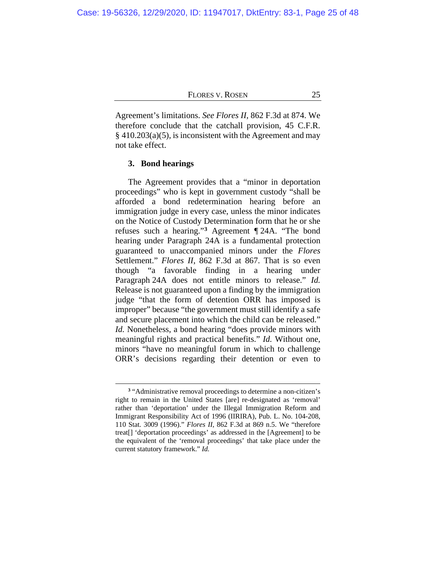Agreement's limitations. *See Flores II*, 862 F.3d at 874. We therefore conclude that the catchall provision, 45 C.F.R.  $§$  410.203(a)(5), is inconsistent with the Agreement and may not take effect.

### **3. Bond hearings**

<span id="page-24-1"></span>The Agreement provides that a "minor in deportation proceedings" who is kept in government custody "shall be afforded a bond redetermination hearing before an immigration judge in every case, unless the minor indicates on the Notice of Custody Determination form that he or she refuses such a hearing."**[3](#page-24-0)** Agreement ¶ 24A. "The bond hearing under Paragraph 24A is a fundamental protection guaranteed to unaccompanied minors under the *Flores* Settlement." *Flores II*, 862 F.3d at 867. That is so even though "a favorable finding in a hearing under Paragraph 24A does not entitle minors to release." *Id.* Release is not guaranteed upon a finding by the immigration judge "that the form of detention ORR has imposed is improper" because "the government must still identify a safe and secure placement into which the child can be released." *Id.* Nonetheless, a bond hearing "does provide minors with meaningful rights and practical benefits." *Id.* Without one, minors "have no meaningful forum in which to challenge ORR's decisions regarding their detention or even to

<span id="page-24-0"></span>**<sup>3</sup>** "Administrative removal proceedings to determine a non-citizen's right to remain in the United States [are] re-designated as 'removal' rather than 'deportation' under the Illegal Immigration Reform and Immigrant Responsibility Act of 1996 (IIRIRA), Pub. L. No. 104-208, 110 Stat. 3009 (1996)." *Flores II*, 862 F.3d at 869 n.5. We "therefore treat[] 'deportation proceedings' as addressed in the [Agreement] to be the equivalent of the 'removal proceedings' that take place under the current statutory framework." *Id.*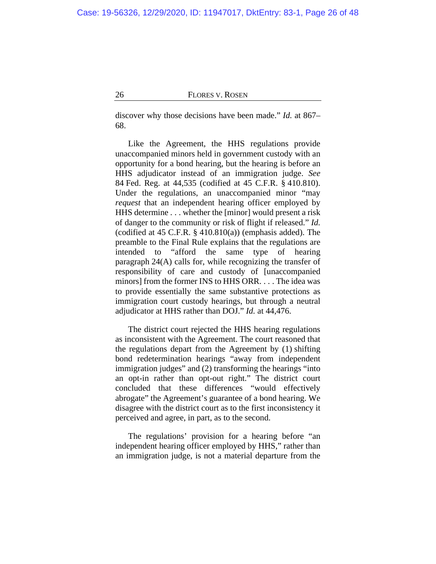discover why those decisions have been made." *Id.* at 867– 68.

<span id="page-25-0"></span>Like the Agreement, the HHS regulations provide unaccompanied minors held in government custody with an opportunity for a bond hearing, but the hearing is before an HHS adjudicator instead of an immigration judge. *See* 84 Fed. Reg. at 44,535 (codified at 45 C.F.R. § 410.810). Under the regulations, an unaccompanied minor "may *request* that an independent hearing officer employed by HHS determine . . . whether the [minor] would present a risk of danger to the community or risk of flight if released." *Id.* (codified at 45 C.F.R. § 410.810(a)) (emphasis added). The preamble to the Final Rule explains that the regulations are intended to "afford the same type of hearing paragraph 24(A) calls for, while recognizing the transfer of responsibility of care and custody of [unaccompanied minors] from the former INS to HHS ORR. . . . The idea was to provide essentially the same substantive protections as immigration court custody hearings, but through a neutral adjudicator at HHS rather than DOJ." *Id.* at 44,476.

The district court rejected the HHS hearing regulations as inconsistent with the Agreement. The court reasoned that the regulations depart from the Agreement by (1) shifting bond redetermination hearings "away from independent immigration judges" and (2) transforming the hearings "into an opt-in rather than opt-out right." The district court concluded that these differences "would effectively abrogate" the Agreement's guarantee of a bond hearing. We disagree with the district court as to the first inconsistency it perceived and agree, in part, as to the second.

The regulations' provision for a hearing before "an independent hearing officer employed by HHS," rather than an immigration judge, is not a material departure from the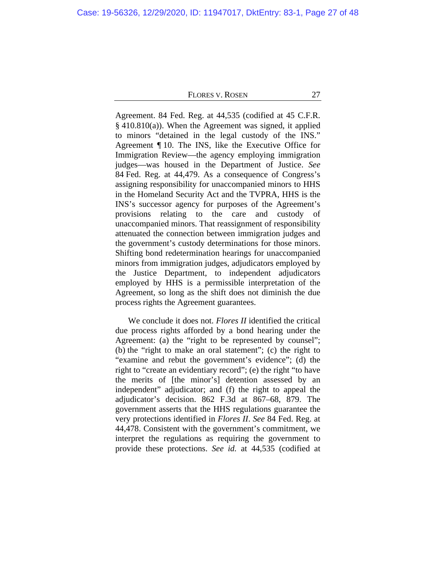Agreement. 84 Fed. Reg. at 44,535 (codified at 45 C.F.R.  $§$  410.810(a)). When the Agreement was signed, it applied to minors "detained in the legal custody of the INS." Agreement ¶ 10. The INS, like the Executive Office for Immigration Review—the agency employing immigration judges—was housed in the Department of Justice. *See* 84 Fed. Reg. at 44,479. As a consequence of Congress's assigning responsibility for unaccompanied minors to HHS in the Homeland Security Act and the TVPRA, HHS is the INS's successor agency for purposes of the Agreement's provisions relating to the care and custody of unaccompanied minors. That reassignment of responsibility attenuated the connection between immigration judges and the government's custody determinations for those minors. Shifting bond redetermination hearings for unaccompanied minors from immigration judges, adjudicators employed by the Justice Department, to independent adjudicators employed by HHS is a permissible interpretation of the Agreement, so long as the shift does not diminish the due process rights the Agreement guarantees.

We conclude it does not. *Flores II* identified the critical due process rights afforded by a bond hearing under the Agreement: (a) the "right to be represented by counsel"; (b) the "right to make an oral statement"; (c) the right to "examine and rebut the government's evidence"; (d) the right to "create an evidentiary record"; (e) the right "to have the merits of [the minor's] detention assessed by an independent" adjudicator; and (f) the right to appeal the adjudicator's decision. 862 F.3d at 867–68, 879. The government asserts that the HHS regulations guarantee the very protections identified in *Flores II*. *See* 84 Fed. Reg. at 44,478. Consistent with the government's commitment, we interpret the regulations as requiring the government to provide these protections. *See id.* at 44,535 (codified at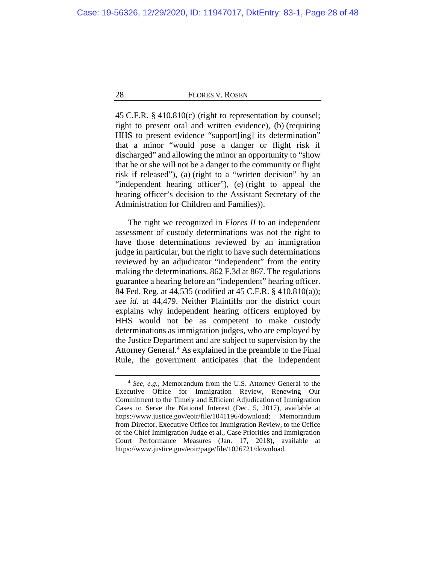45 C.F.R. § 410.810(c) (right to representation by counsel; right to present oral and written evidence), (b) (requiring HHS to present evidence "support[ing] its determination" that a minor "would pose a danger or flight risk if discharged" and allowing the minor an opportunity to "show that he or she will not be a danger to the community or flight risk if released"), (a) (right to a "written decision" by an "independent hearing officer"), (e) (right to appeal the hearing officer's decision to the Assistant Secretary of the Administration for Children and Families)).

The right we recognized in *Flores II* to an independent assessment of custody determinations was not the right to have those determinations reviewed by an immigration judge in particular, but the right to have such determinations reviewed by an adjudicator "independent" from the entity making the determinations. 862 F.3d at 867. The regulations guarantee a hearing before an "independent" hearing officer. 84 Fed. Reg. at 44,535 (codified at 45 C.F.R. § 410.810(a)); *see id.* at 44,479. Neither Plaintiffs nor the district court explains why independent hearing officers employed by HHS would not be as competent to make custody determinations as immigration judges, who are employed by the Justice Department and are subject to supervision by the Attorney General.**[4](#page-27-0)** As explained in the preamble to the Final Rule, the government anticipates that the independent

<span id="page-27-0"></span>**<sup>4</sup>** *See, e.g.*, Memorandum from the U.S. Attorney General to the Executive Office for Immigration Review, Renewing Our Commitment to the Timely and Efficient Adjudication of Immigration Cases to Serve the National Interest (Dec. 5, 2017), available at [https://www.justice.gov/eoir/file/1041196/download;](https://www.justice.gov/eoir/file/1041196/download) Memorandum from Director, Executive Office for Immigration Review, to the Office of the Chief Immigration Judge et al., Case Priorities and Immigration Court Performance Measures (Jan. 17, 2018), available at [https://www.justice.gov/eoir/page/file/1026721/download.](https://www.justice.gov/eoir/page/file/1026721/download)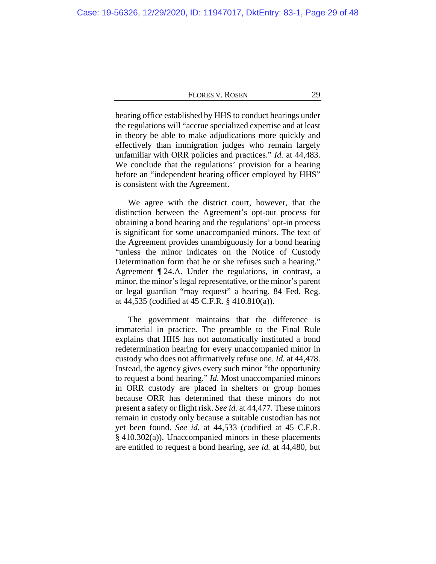hearing office established by HHS to conduct hearings under the regulations will "accrue specialized expertise and at least in theory be able to make adjudications more quickly and effectively than immigration judges who remain largely unfamiliar with ORR policies and practices." *Id.* at 44,483. We conclude that the regulations' provision for a hearing before an "independent hearing officer employed by HHS" is consistent with the Agreement.

We agree with the district court, however, that the distinction between the Agreement's opt-out process for obtaining a bond hearing and the regulations' opt-in process is significant for some unaccompanied minors. The text of the Agreement provides unambiguously for a bond hearing "unless the minor indicates on the Notice of Custody Determination form that he or she refuses such a hearing." Agreement ¶ 24.A. Under the regulations, in contrast, a minor, the minor's legal representative, or the minor's parent or legal guardian "may request" a hearing. 84 Fed. Reg. at 44,535 (codified at 45 C.F.R. § 410.810(a)).

The government maintains that the difference is immaterial in practice. The preamble to the Final Rule explains that HHS has not automatically instituted a bond redetermination hearing for every unaccompanied minor in custody who does not affirmatively refuse one. *Id.* at 44,478. Instead, the agency gives every such minor "the opportunity to request a bond hearing." *Id.* Most unaccompanied minors in ORR custody are placed in shelters or group homes because ORR has determined that these minors do not present a safety or flight risk. *See id.* at 44,477. These minors remain in custody only because a suitable custodian has not yet been found. *See id.* at 44,533 (codified at 45 C.F.R. § 410.302(a)). Unaccompanied minors in these placements are entitled to request a bond hearing, *see id.* at 44,480, but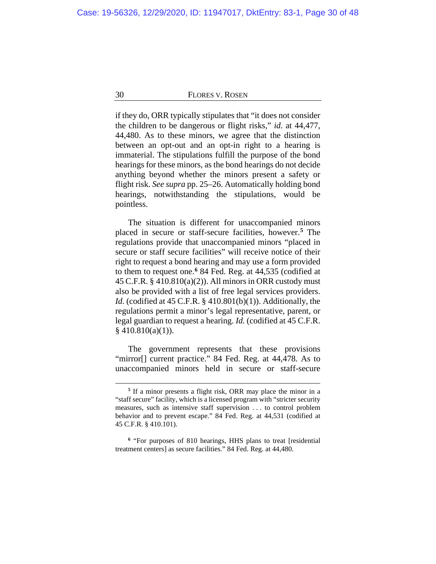if they do, ORR typically stipulates that "it does not consider the children to be dangerous or flight risks," *id.* at 44,477, 44,480. As to these minors, we agree that the distinction between an opt-out and an opt-in right to a hearing is immaterial. The stipulations fulfill the purpose of the bond hearings for these minors, as the bond hearings do not decide anything beyond whether the minors present a safety or flight risk. *See supra* pp. [25–](#page-24-1)[26.](#page-25-0) Automatically holding bond hearings, notwithstanding the stipulations, would be pointless.

The situation is different for unaccompanied minors placed in secure or staff-secure facilities, however.**[5](#page-29-0)** The regulations provide that unaccompanied minors "placed in secure or staff secure facilities" will receive notice of their right to request a bond hearing and may use a form provided to them to request one.**[6](#page-29-1)** 84 Fed. Reg. at 44,535 (codified at 45 C.F.R. § 410.810(a)(2)). All minors in ORR custody must also be provided with a list of free legal services providers. *Id.* (codified at 45 C.F.R. § 410.801(b)(1)). Additionally, the regulations permit a minor's legal representative, parent, or legal guardian to request a hearing. *Id.* (codified at 45 C.F.R.  $§$  410.810(a)(1)).

The government represents that these provisions "mirror[] current practice." 84 Fed. Reg. at 44,478. As to unaccompanied minors held in secure or staff-secure

**<sup>5</sup>** If a minor presents a flight risk, ORR may place the minor in a "staff secure" facility, which is a licensed program with "stricter security measures, such as intensive staff supervision . . . to control problem behavior and to prevent escape." 84 Fed. Reg. at 44,531 (codified at 45 C.F.R. § 410.101).

<span id="page-29-1"></span><span id="page-29-0"></span>**<sup>6</sup>** "For purposes of 810 hearings, HHS plans to treat [residential treatment centers] as secure facilities." 84 Fed. Reg. at 44,480.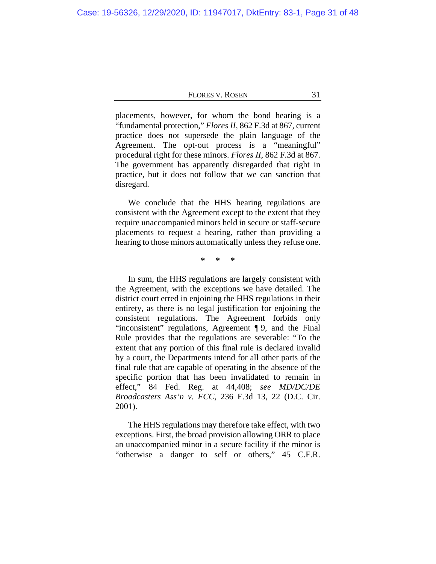placements, however, for whom the bond hearing is a "fundamental protection," *Flores II*, 862 F.3d at 867, current practice does not supersede the plain language of the Agreement. The opt-out process is a "meaningful" procedural right for these minors. *Flores II*, 862 F.3d at 867. The government has apparently disregarded that right in practice, but it does not follow that we can sanction that disregard.

We conclude that the HHS hearing regulations are consistent with the Agreement except to the extent that they require unaccompanied minors held in secure or staff-secure placements to request a hearing, rather than providing a hearing to those minors automatically unless they refuse one.

**\* \* \***

In sum, the HHS regulations are largely consistent with the Agreement, with the exceptions we have detailed. The district court erred in enjoining the HHS regulations in their entirety, as there is no legal justification for enjoining the consistent regulations. The Agreement forbids only "inconsistent" regulations, Agreement ¶ 9, and the Final Rule provides that the regulations are severable: "To the extent that any portion of this final rule is declared invalid by a court, the Departments intend for all other parts of the final rule that are capable of operating in the absence of the specific portion that has been invalidated to remain in effect," 84 Fed. Reg. at 44,408; *see MD/DC/DE Broadcasters Ass'n v. FCC*, 236 F.3d 13, 22 (D.C. Cir. 2001).

The HHS regulations may therefore take effect, with two exceptions. First, the broad provision allowing ORR to place an unaccompanied minor in a secure facility if the minor is "otherwise a danger to self or others," 45 C.F.R.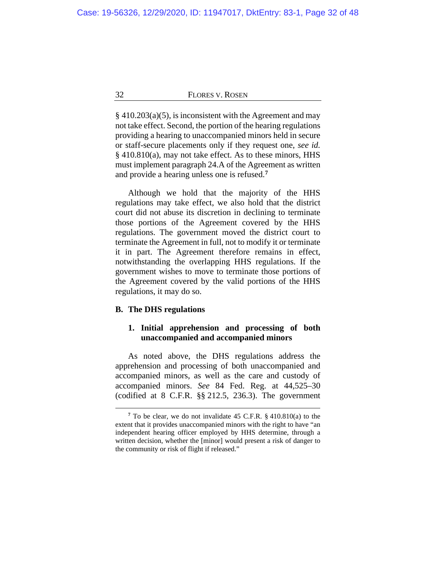§ 410.203(a)(5), is inconsistent with the Agreement and may not take effect. Second, the portion of the hearing regulations providing a hearing to unaccompanied minors held in secure or staff-secure placements only if they request one, *see id.* § 410.810(a), may not take effect. As to these minors, HHS must implement paragraph 24.A of the Agreement as written and provide a hearing unless one is refused.**[7](#page-31-0)**

Although we hold that the majority of the HHS regulations may take effect, we also hold that the district court did not abuse its discretion in declining to terminate those portions of the Agreement covered by the HHS regulations. The government moved the district court to terminate the Agreement in full, not to modify it or terminate it in part. The Agreement therefore remains in effect, notwithstanding the overlapping HHS regulations. If the government wishes to move to terminate those portions of the Agreement covered by the valid portions of the HHS regulations, it may do so.

### <span id="page-31-1"></span>**B. The DHS regulations**

# **1. Initial apprehension and processing of both unaccompanied and accompanied minors**

As noted above, the DHS regulations address the apprehension and processing of both unaccompanied and accompanied minors, as well as the care and custody of accompanied minors. *See* 84 Fed. Reg. at 44,525–30 (codified at 8 C.F.R. §§ 212.5, 236.3). The government

<span id="page-31-0"></span>**<sup>7</sup>** To be clear, we do not invalidate 45 C.F.R. § 410.810(a) to the extent that it provides unaccompanied minors with the right to have "an independent hearing officer employed by HHS determine, through a written decision, whether the [minor] would present a risk of danger to the community or risk of flight if released."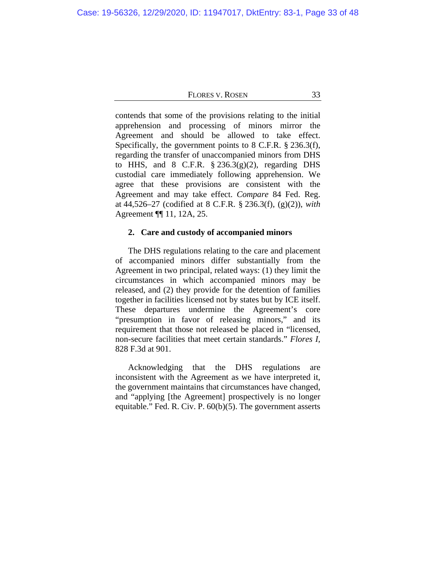contends that some of the provisions relating to the initial apprehension and processing of minors mirror the Agreement and should be allowed to take effect. Specifically, the government points to 8 C.F.R. § 236.3(f), regarding the transfer of unaccompanied minors from DHS to HHS, and  $8$  C.F.R.  $\frac{6}{5}$  236.3(g)(2), regarding DHS custodial care immediately following apprehension. We agree that these provisions are consistent with the Agreement and may take effect. *Compare* 84 Fed. Reg. at 44,526–27 (codified at 8 C.F.R. § 236.3(f), (g)(2)), *with* Agreement ¶¶ 11, 12A, 25.

# **2. Care and custody of accompanied minors**

The DHS regulations relating to the care and placement of accompanied minors differ substantially from the Agreement in two principal, related ways: (1) they limit the circumstances in which accompanied minors may be released, and (2) they provide for the detention of families together in facilities licensed not by states but by ICE itself. These departures undermine the Agreement's core "presumption in favor of releasing minors," and its requirement that those not released be placed in "licensed, non-secure facilities that meet certain standards." *Flores I*, 828 F.3d at 901.

Acknowledging that the DHS regulations are inconsistent with the Agreement as we have interpreted it, the government maintains that circumstances have changed, and "applying [the Agreement] prospectively is no longer equitable." Fed. R. Civ. P. 60(b)(5). The government asserts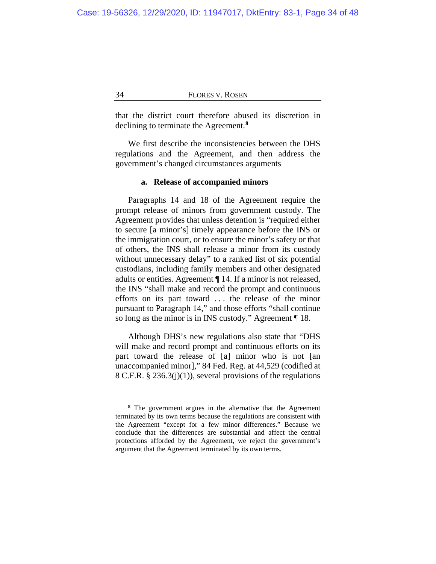that the district court therefore abused its discretion in declining to terminate the Agreement.**[8](#page-33-0)**

We first describe the inconsistencies between the DHS regulations and the Agreement, and then address the government's changed circumstances arguments

### **a. Release of accompanied minors**

Paragraphs 14 and 18 of the Agreement require the prompt release of minors from government custody. The Agreement provides that unless detention is "required either to secure [a minor's] timely appearance before the INS or the immigration court, or to ensure the minor's safety or that of others, the INS shall release a minor from its custody without unnecessary delay" to a ranked list of six potential custodians, including family members and other designated adults or entities. Agreement ¶ 14. If a minor is not released, the INS "shall make and record the prompt and continuous efforts on its part toward . . . the release of the minor pursuant to Paragraph 14," and those efforts "shall continue so long as the minor is in INS custody." Agreement ¶ 18.

Although DHS's new regulations also state that "DHS will make and record prompt and continuous efforts on its part toward the release of [a] minor who is not [an unaccompanied minor]," 84 Fed. Reg. at 44,529 (codified at 8 C.F.R. § 236.3(j)(1)), several provisions of the regulations

<span id="page-33-0"></span>**<sup>8</sup>** The government argues in the alternative that the Agreement terminated by its own terms because the regulations are consistent with the Agreement "except for a few minor differences." Because we conclude that the differences are substantial and affect the central protections afforded by the Agreement, we reject the government's argument that the Agreement terminated by its own terms.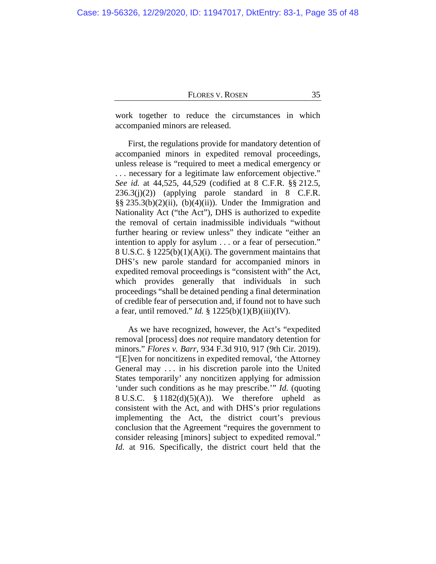work together to reduce the circumstances in which accompanied minors are released.

First, the regulations provide for mandatory detention of accompanied minors in expedited removal proceedings, unless release is "required to meet a medical emergency or . . . necessary for a legitimate law enforcement objective." *See id.* at 44,525, 44,529 (codified at 8 C.F.R. §§ 212.5,  $236.3(j)(2)$  (applying parole standard in 8 C.F.R.  $\S\S 235.3(b)(2)(ii)$ , (b)(4)(ii)). Under the Immigration and Nationality Act ("the Act"), DHS is authorized to expedite the removal of certain inadmissible individuals "without further hearing or review unless" they indicate "either an intention to apply for asylum . . . or a fear of persecution." 8 U.S.C. § 1225(b)(1)(A)(i). The government maintains that DHS's new parole standard for accompanied minors in expedited removal proceedings is "consistent with" the Act, which provides generally that individuals in such proceedings "shall be detained pending a final determination of credible fear of persecution and, if found not to have such a fear, until removed." *Id.* § 1225(b)(1)(B)(iii)(IV).

As we have recognized, however, the Act's "expedited removal [process] does *not* require mandatory detention for minors." *Flores v. Barr*, 934 F.3d 910, 917 (9th Cir. 2019). "[E]ven for noncitizens in expedited removal, 'the Attorney General may . . . in his discretion parole into the United States temporarily' any noncitizen applying for admission 'under such conditions as he may prescribe.'" *Id.* (quoting 8 U.S.C.  $\frac{8}{3}$  1182(d)(5)(A)). We therefore upheld as consistent with the Act, and with DHS's prior regulations implementing the Act, the district court's previous conclusion that the Agreement "requires the government to consider releasing [minors] subject to expedited removal." *Id.* at 916. Specifically, the district court held that the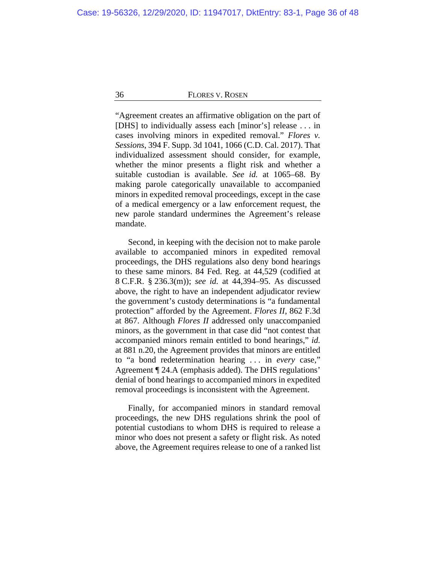"Agreement creates an affirmative obligation on the part of [DHS] to individually assess each [minor's] release . . . in cases involving minors in expedited removal." *Flores v. Sessions*, 394 F. Supp. 3d 1041, 1066 (C.D. Cal. 2017). That individualized assessment should consider, for example, whether the minor presents a flight risk and whether a suitable custodian is available. *See id.* at 1065–68. By making parole categorically unavailable to accompanied minors in expedited removal proceedings, except in the case of a medical emergency or a law enforcement request, the new parole standard undermines the Agreement's release mandate.

Second, in keeping with the decision not to make parole available to accompanied minors in expedited removal proceedings, the DHS regulations also deny bond hearings to these same minors. 84 Fed. Reg. at 44,529 (codified at 8 C.F.R. § 236.3(m)); *see id.* at 44,394–95. As discussed above, the right to have an independent adjudicator review the government's custody determinations is "a fundamental protection" afforded by the Agreement. *Flores II*, 862 F.3d at 867. Although *Flores II* addressed only unaccompanied minors, as the government in that case did "not contest that accompanied minors remain entitled to bond hearings," *id.* at 881 n.20, the Agreement provides that minors are entitled to "a bond redetermination hearing . . . in *every* case," Agreement ¶ 24.A (emphasis added). The DHS regulations' denial of bond hearings to accompanied minors in expedited removal proceedings is inconsistent with the Agreement.

Finally, for accompanied minors in standard removal proceedings, the new DHS regulations shrink the pool of potential custodians to whom DHS is required to release a minor who does not present a safety or flight risk. As noted above, the Agreement requires release to one of a ranked list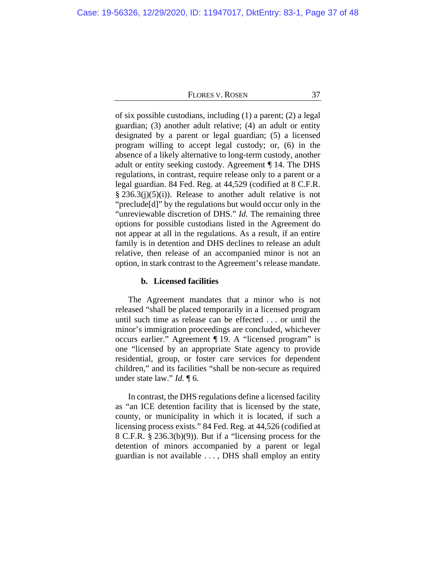of six possible custodians, including (1) a parent; (2) a legal guardian; (3) another adult relative; (4) an adult or entity designated by a parent or legal guardian; (5) a licensed program willing to accept legal custody; or, (6) in the absence of a likely alternative to long-term custody, another adult or entity seeking custody. Agreement ¶ 14. The DHS regulations, in contrast, require release only to a parent or a legal guardian. 84 Fed. Reg. at 44,529 (codified at 8 C.F.R.  $\S 236.3(j)(5)(i)$ . Release to another adult relative is not "preclude[d]" by the regulations but would occur only in the "unreviewable discretion of DHS." *Id.* The remaining three options for possible custodians listed in the Agreement do not appear at all in the regulations. As a result, if an entire family is in detention and DHS declines to release an adult relative, then release of an accompanied minor is not an option, in stark contrast to the Agreement's release mandate.

# **b. Licensed facilities**

The Agreement mandates that a minor who is not released "shall be placed temporarily in a licensed program until such time as release can be effected . . . or until the minor's immigration proceedings are concluded, whichever occurs earlier." Agreement ¶ 19. A "licensed program" is one "licensed by an appropriate State agency to provide residential, group, or foster care services for dependent children," and its facilities "shall be non-secure as required under state law." *Id.* ¶ 6.

In contrast, the DHS regulations define a licensed facility as "an ICE detention facility that is licensed by the state, county, or municipality in which it is located, if such a licensing process exists." 84 Fed. Reg. at 44,526 (codified at 8 C.F.R. § 236.3(b)(9)). But if a "licensing process for the detention of minors accompanied by a parent or legal guardian is not available . . . , DHS shall employ an entity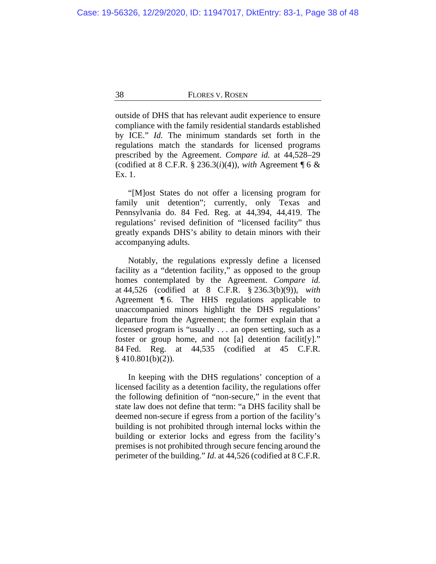outside of DHS that has relevant audit experience to ensure compliance with the family residential standards established by ICE." *Id.* The minimum standards set forth in the regulations match the standards for licensed programs prescribed by the Agreement. *Compare id.* at 44,528–29 (codified at 8 C.F.R. § 236.3(*i*)(4)), *with* Agreement  $\P 6 \&$ Ex. 1.

"[M]ost States do not offer a licensing program for family unit detention"; currently, only Texas and Pennsylvania do. 84 Fed. Reg. at 44,394, 44,419. The regulations' revised definition of "licensed facility" thus greatly expands DHS's ability to detain minors with their accompanying adults.

Notably, the regulations expressly define a licensed facility as a "detention facility," as opposed to the group homes contemplated by the Agreement. *Compare id.* at 44,526 (codified at 8 C.F.R. § 236.3(b)(9)), *with* Agreement ¶ 6. The HHS regulations applicable to unaccompanied minors highlight the DHS regulations' departure from the Agreement; the former explain that a licensed program is "usually . . . an open setting, such as a foster or group home, and not [a] detention facilit[y]." 84 Fed. Reg. at 44,535 (codified at 45 C.F.R.  $§$  410.801(b)(2)).

In keeping with the DHS regulations' conception of a licensed facility as a detention facility, the regulations offer the following definition of "non-secure," in the event that state law does not define that term: "a DHS facility shall be deemed non-secure if egress from a portion of the facility's building is not prohibited through internal locks within the building or exterior locks and egress from the facility's premises is not prohibited through secure fencing around the perimeter of the building." *Id.* at 44,526 (codified at 8 C.F.R.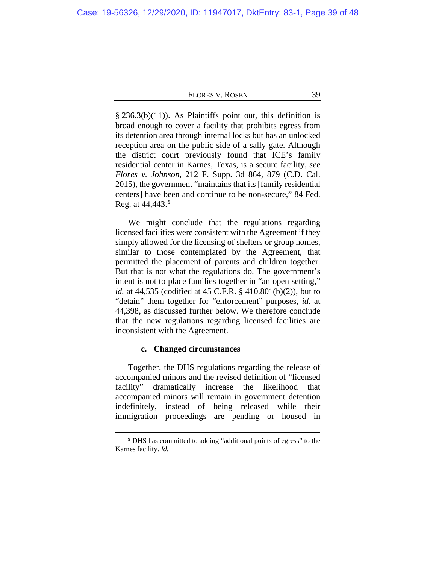$§$  236.3(b)(11)). As Plaintiffs point out, this definition is broad enough to cover a facility that prohibits egress from its detention area through internal locks but has an unlocked reception area on the public side of a sally gate. Although the district court previously found that ICE's family residential center in Karnes, Texas, is a secure facility, *see Flores v. Johnson*, 212 F. Supp. 3d 864, 879 (C.D. Cal. 2015), the government "maintains that its [family residential centers] have been and continue to be non-secure," 84 Fed. Reg. at 44,443.**[9](#page-38-0)**

We might conclude that the regulations regarding licensed facilities were consistent with the Agreement if they simply allowed for the licensing of shelters or group homes, similar to those contemplated by the Agreement, that permitted the placement of parents and children together. But that is not what the regulations do. The government's intent is not to place families together in "an open setting," *id.* at 44,535 (codified at 45 C.F.R. § 410.801(b)(2)), but to "detain" them together for "enforcement" purposes, *id.* at 44,398, as discussed further below. We therefore conclude that the new regulations regarding licensed facilities are inconsistent with the Agreement.

### **c. Changed circumstances**

Together, the DHS regulations regarding the release of accompanied minors and the revised definition of "licensed facility" dramatically increase the likelihood that accompanied minors will remain in government detention indefinitely, instead of being released while their immigration proceedings are pending or housed in

<span id="page-38-0"></span>**<sup>9</sup>** DHS has committed to adding "additional points of egress" to the Karnes facility. *Id.*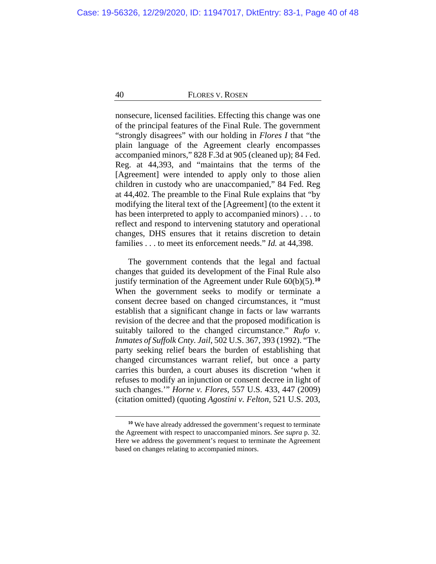nonsecure, licensed facilities. Effecting this change was one of the principal features of the Final Rule. The government "strongly disagrees" with our holding in *Flores I* that "the plain language of the Agreement clearly encompasses accompanied minors," 828 F.3d at 905 (cleaned up); 84 Fed. Reg. at 44,393, and "maintains that the terms of the [Agreement] were intended to apply only to those alien children in custody who are unaccompanied," 84 Fed. Reg at 44,402. The preamble to the Final Rule explains that "by modifying the literal text of the [Agreement] (to the extent it has been interpreted to apply to accompanied minors) . . . to reflect and respond to intervening statutory and operational changes, DHS ensures that it retains discretion to detain families . . . to meet its enforcement needs." *Id.* at 44,398.

The government contends that the legal and factual changes that guided its development of the Final Rule also justify termination of the Agreement under Rule 60(b)(5).**[10](#page-39-0)** When the government seeks to modify or terminate a consent decree based on changed circumstances, it "must establish that a significant change in facts or law warrants revision of the decree and that the proposed modification is suitably tailored to the changed circumstance." *Rufo v. Inmates of Suffolk Cnty. Jail*, 502 U.S. 367, 393 (1992). "The party seeking relief bears the burden of establishing that changed circumstances warrant relief, but once a party carries this burden, a court abuses its discretion 'when it refuses to modify an injunction or consent decree in light of such changes.'" *Horne v. Flores*, 557 U.S. 433, 447 (2009) (citation omitted) (quoting *Agostini v. Felton*, 521 U.S. 203,

<span id="page-39-0"></span>**<sup>10</sup>** We have already addressed the government's request to terminate the Agreement with respect to unaccompanied minors. *See supra* p. [32.](#page-31-1) Here we address the government's request to terminate the Agreement based on changes relating to accompanied minors.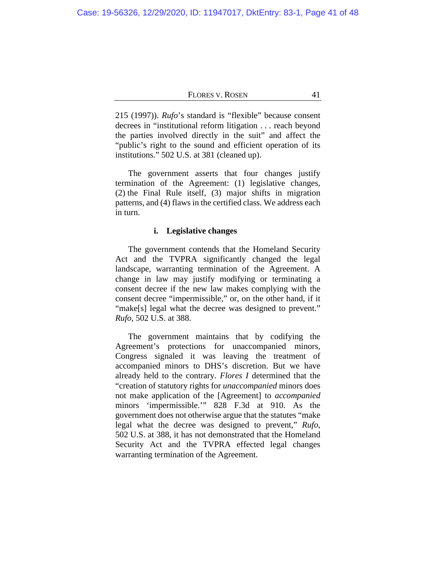215 (1997)). *Rufo*'s standard is "flexible" because consent decrees in "institutional reform litigation . . . reach beyond the parties involved directly in the suit" and affect the "public's right to the sound and efficient operation of its institutions." 502 U.S. at 381 (cleaned up).

The government asserts that four changes justify termination of the Agreement: (1) legislative changes, (2) the Final Rule itself, (3) major shifts in migration patterns, and (4) flaws in the certified class. We address each in turn.

# **i. Legislative changes**

The government contends that the Homeland Security Act and the TVPRA significantly changed the legal landscape, warranting termination of the Agreement. A change in law may justify modifying or terminating a consent decree if the new law makes complying with the consent decree "impermissible," or, on the other hand, if it "make[s] legal what the decree was designed to prevent." *Rufo*, 502 U.S. at 388.

The government maintains that by codifying the Agreement's protections for unaccompanied minors, Congress signaled it was leaving the treatment of accompanied minors to DHS's discretion. But we have already held to the contrary. *Flores I* determined that the "creation of statutory rights for *unaccompanied* minors does not make application of the [Agreement] to *accompanied* minors 'impermissible.'" 828 F.3d at 910. As the government does not otherwise argue that the statutes "make legal what the decree was designed to prevent," *Rufo*, 502 U.S. at 388, it has not demonstrated that the Homeland Security Act and the TVPRA effected legal changes warranting termination of the Agreement.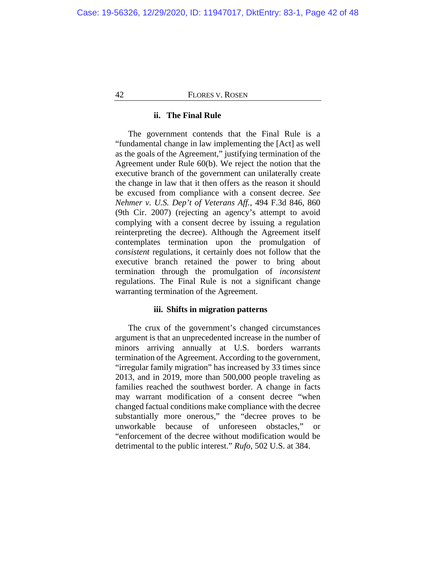# **ii. The Final Rule**

The government contends that the Final Rule is a "fundamental change in law implementing the [Act] as well as the goals of the Agreement," justifying termination of the Agreement under Rule 60(b). We reject the notion that the executive branch of the government can unilaterally create the change in law that it then offers as the reason it should be excused from compliance with a consent decree. *See Nehmer v. U.S. Dep't of Veterans Aff.*, 494 F.3d 846, 860 (9th Cir. 2007) (rejecting an agency's attempt to avoid complying with a consent decree by issuing a regulation reinterpreting the decree). Although the Agreement itself contemplates termination upon the promulgation of *consistent* regulations, it certainly does not follow that the executive branch retained the power to bring about termination through the promulgation of *inconsistent* regulations. The Final Rule is not a significant change warranting termination of the Agreement.

# **iii. Shifts in migration patterns**

The crux of the government's changed circumstances argument is that an unprecedented increase in the number of minors arriving annually at U.S. borders warrants termination of the Agreement. According to the government, "irregular family migration" has increased by 33 times since 2013, and in 2019, more than 500,000 people traveling as families reached the southwest border. A change in facts may warrant modification of a consent decree "when changed factual conditions make compliance with the decree substantially more onerous," the "decree proves to be unworkable because of unforeseen obstacles," or "enforcement of the decree without modification would be detrimental to the public interest." *Rufo*, 502 U.S. at 384.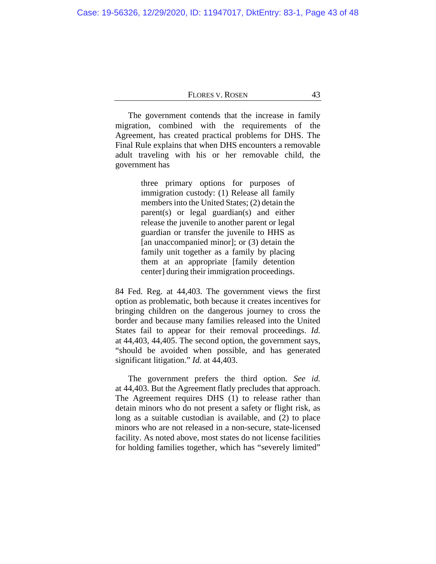The government contends that the increase in family migration, combined with the requirements of the Agreement, has created practical problems for DHS. The Final Rule explains that when DHS encounters a removable adult traveling with his or her removable child, the government has

> three primary options for purposes of immigration custody: (1) Release all family members into the United States; (2) detain the parent(s) or legal guardian(s) and either release the juvenile to another parent or legal guardian or transfer the juvenile to HHS as [an unaccompanied minor]; or (3) detain the family unit together as a family by placing them at an appropriate [family detention center] during their immigration proceedings.

84 Fed. Reg. at 44,403. The government views the first option as problematic, both because it creates incentives for bringing children on the dangerous journey to cross the border and because many families released into the United States fail to appear for their removal proceedings. *Id.* at 44,403, 44,405. The second option, the government says, "should be avoided when possible, and has generated significant litigation." *Id.* at 44,403.

The government prefers the third option. *See id.* at 44,403. But the Agreement flatly precludes that approach. The Agreement requires DHS (1) to release rather than detain minors who do not present a safety or flight risk, as long as a suitable custodian is available, and (2) to place minors who are not released in a non-secure, state-licensed facility. As noted above, most states do not license facilities for holding families together, which has "severely limited"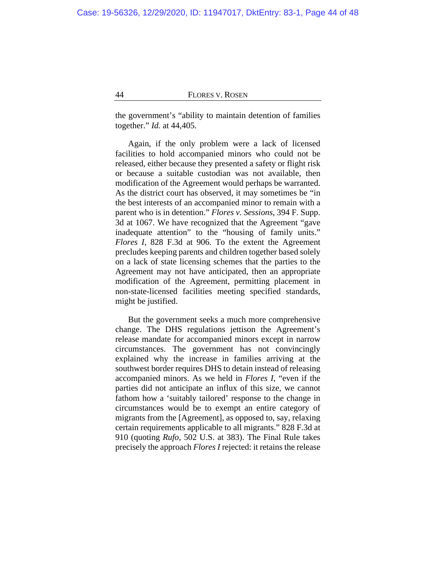the government's "ability to maintain detention of families together." *Id.* at 44,405.

Again, if the only problem were a lack of licensed facilities to hold accompanied minors who could not be released, either because they presented a safety or flight risk or because a suitable custodian was not available, then modification of the Agreement would perhaps be warranted. As the district court has observed, it may sometimes be "in the best interests of an accompanied minor to remain with a parent who is in detention." *Flores v. Sessions*, 394 F. Supp. 3d at 1067. We have recognized that the Agreement "gave inadequate attention" to the "housing of family units." *Flores I*, 828 F.3d at 906. To the extent the Agreement precludes keeping parents and children together based solely on a lack of state licensing schemes that the parties to the Agreement may not have anticipated, then an appropriate modification of the Agreement, permitting placement in non-state-licensed facilities meeting specified standards, might be justified.

But the government seeks a much more comprehensive change. The DHS regulations jettison the Agreement's release mandate for accompanied minors except in narrow circumstances. The government has not convincingly explained why the increase in families arriving at the southwest border requires DHS to detain instead of releasing accompanied minors. As we held in *Flores I*, "even if the parties did not anticipate an influx of this size, we cannot fathom how a 'suitably tailored' response to the change in circumstances would be to exempt an entire category of migrants from the [Agreement], as opposed to, say, relaxing certain requirements applicable to all migrants." 828 F.3d at 910 (quoting *Rufo*, 502 U.S. at 383). The Final Rule takes precisely the approach *Flores I* rejected: it retains the release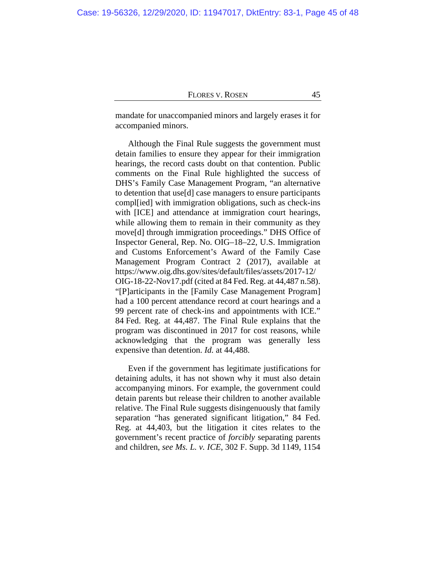mandate for unaccompanied minors and largely erases it for accompanied minors.

Although the Final Rule suggests the government must detain families to ensure they appear for their immigration hearings, the record casts doubt on that contention. Public comments on the Final Rule highlighted the success of DHS's Family Case Management Program, "an alternative to detention that use[d] case managers to ensure participants compl[ied] with immigration obligations, such as check-ins with [ICE] and attendance at immigration court hearings, while allowing them to remain in their community as they move[d] through immigration proceedings." DHS Office of Inspector General, Rep. No. OIG–18–22, U.S. Immigration and Customs Enforcement's Award of the Family Case Management Program Contract 2 (2017), available at [https://www.oig.dhs.gov/sites/default/files/assets/2017-12/](https://www.oig.dhs.gov/sites/default/files/assets/2017-12/OIG-18-22-Nov17.pdf) [OIG-18-22-Nov17.pdf](https://www.oig.dhs.gov/sites/default/files/assets/2017-12/OIG-18-22-Nov17.pdf) (cited at 84 Fed. Reg. at 44,487 n.58). "[P]articipants in the [Family Case Management Program] had a 100 percent attendance record at court hearings and a 99 percent rate of check-ins and appointments with ICE." 84 Fed. Reg. at 44,487. The Final Rule explains that the program was discontinued in 2017 for cost reasons, while acknowledging that the program was generally less expensive than detention. *Id.* at 44,488.

Even if the government has legitimate justifications for detaining adults, it has not shown why it must also detain accompanying minors. For example, the government could detain parents but release their children to another available relative. The Final Rule suggests disingenuously that family separation "has generated significant litigation," 84 Fed. Reg. at 44,403, but the litigation it cites relates to the government's recent practice of *forcibly* separating parents and children, *see Ms. L. v. ICE*, 302 F. Supp. 3d 1149, 1154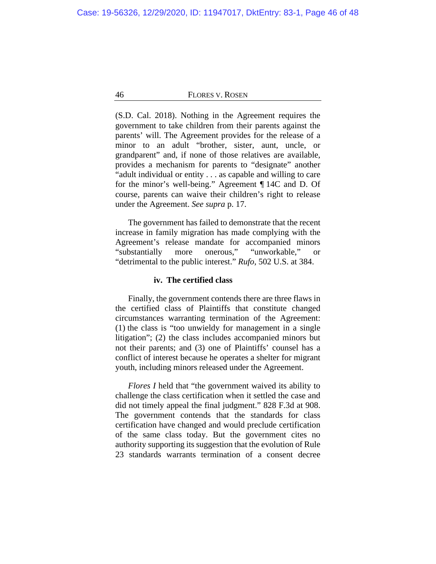(S.D. Cal. 2018). Nothing in the Agreement requires the government to take children from their parents against the parents' will. The Agreement provides for the release of a minor to an adult "brother, sister, aunt, uncle, or grandparent" and, if none of those relatives are available, provides a mechanism for parents to "designate" another "adult individual or entity . . . as capable and willing to care for the minor's well-being." Agreement ¶ 14C and D. Of course, parents can waive their children's right to release under the Agreement. *See supra* p. [17.](#page-16-0)

The government has failed to demonstrate that the recent increase in family migration has made complying with the Agreement's release mandate for accompanied minors "substantially more onerous," "unworkable," "detrimental to the public interest." *Rufo*, 502 U.S. at 384.

# **iv. The certified class**

Finally, the government contends there are three flaws in the certified class of Plaintiffs that constitute changed circumstances warranting termination of the Agreement: (1) the class is "too unwieldy for management in a single litigation"; (2) the class includes accompanied minors but not their parents; and (3) one of Plaintiffs' counsel has a conflict of interest because he operates a shelter for migrant youth, including minors released under the Agreement.

*Flores I* held that "the government waived its ability to challenge the class certification when it settled the case and did not timely appeal the final judgment." 828 F.3d at 908. The government contends that the standards for class certification have changed and would preclude certification of the same class today. But the government cites no authority supporting its suggestion that the evolution of Rule 23 standards warrants termination of a consent decree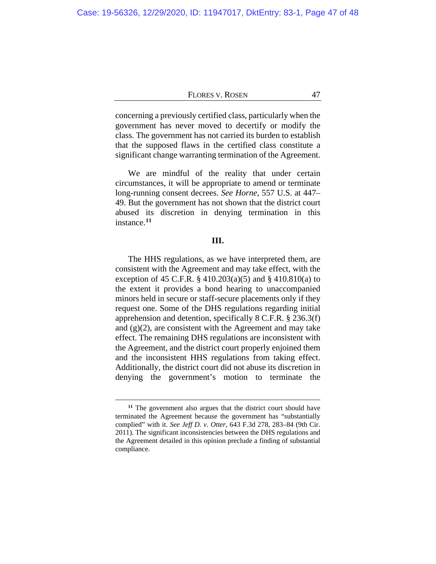concerning a previously certified class, particularly when the government has never moved to decertify or modify the class. The government has not carried its burden to establish that the supposed flaws in the certified class constitute a significant change warranting termination of the Agreement.

We are mindful of the reality that under certain circumstances, it will be appropriate to amend or terminate long-running consent decrees. *See Horne*, 557 U.S. at 447– 49. But the government has not shown that the district court abused its discretion in denying termination in this instance.**[11](#page-46-0)**

# **III.**

The HHS regulations, as we have interpreted them, are consistent with the Agreement and may take effect, with the exception of 45 C.F.R. § 410.203(a)(5) and § 410.810(a) to the extent it provides a bond hearing to unaccompanied minors held in secure or staff-secure placements only if they request one. Some of the DHS regulations regarding initial apprehension and detention, specifically 8 C.F.R. § 236.3(f) and  $(g)(2)$ , are consistent with the Agreement and may take effect. The remaining DHS regulations are inconsistent with the Agreement, and the district court properly enjoined them and the inconsistent HHS regulations from taking effect. Additionally, the district court did not abuse its discretion in denying the government's motion to terminate the

<span id="page-46-0"></span>**<sup>11</sup>** The government also argues that the district court should have terminated the Agreement because the government has "substantially complied" with it. *See Jeff D. v. Otter*, 643 F.3d 278, 283–84 (9th Cir. 2011). The significant inconsistencies between the DHS regulations and the Agreement detailed in this opinion preclude a finding of substantial compliance.